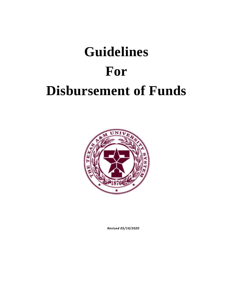# **Guidelines For Disbursement of Funds**



*Revised 05/19/2020*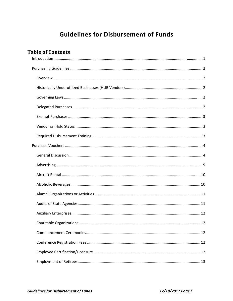# **Guidelines for Disbursement of Funds**

# **Table of Contents**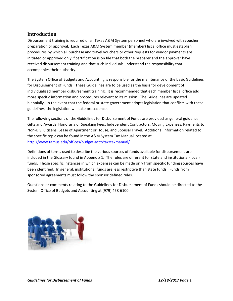# **Introduction**

Disbursement training is required of all Texas A&M System personnel who are involved with voucher preparation or approval. Each Texas A&M System member (member) fiscal office must establish procedures by which all purchase and travel vouchers or other requests for vendor payments are initiated or approved only if certification is on file that both the preparer and the approver have received disbursement training and that such individuals understand the responsibility that accompanies their authority.

The System Office of Budgets and Accounting is responsible for the maintenance of the basic Guidelines for Disbursement of Funds. These Guidelines are to be used as the basis for development of individualized member disbursement training. It is recommended that each member fiscal office add more specific information and procedures relevant to its mission. The Guidelines are updated biennially. In the event that the federal or state government adopts legislation that conflicts with these guidelines, the legislation will take precedence.

The following sections of the Guidelines for Disbursement of Funds are provided as general guidance: Gifts and Awards, Honoraria or Speaking Fees, Independent Contractors, Moving Expenses, Payments to Non‐U.S. Citizens, Lease of Apartment or House, and Spousal Travel. Additional information related to the specific topic can be found in the A&M System Tax Manual located at http://www.tamus.edu/offices/budget-acct/tax/taxmanual/.

Definitions of terms used to describe the various sources of funds available for disbursement are included in the Glossary found in Appendix 1. The rules are different for state and institutional (local) funds. Those specific instances in which expenses can be made only from specific funding sources have been identified. In general, institutional funds are less restrictive than state funds. Funds from sponsored agreements must follow the sponsor defined rules.

Questions or comments relating to the Guidelines for Disbursement of Funds should be directed to the System Office of Budgets and Accounting at (979) 458‐6100.

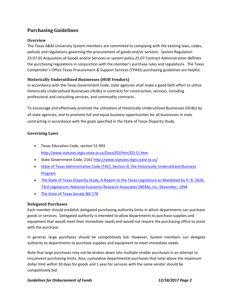# **Purchasing Guidelines**

#### **Overview**

The Texas A&M University System members are committed to complying with the existing laws, codes, policies and regulations governing the procurement of goods and/or services. System Regulation 25.07.03 Acquisition of Goods and/or Services or system policy 25.07 Contract Administration defines the purchasing regulations in conjunction with the member's purchase rules and regulations. The Texas Comptroller's Office Texas Procurement & Support Services (TPASS) purchasing guidelines are helpful.

# **Historically Underutilized Businesses (HUB Vendors)**

In accordance with the Texas Government Code, state agencies shall make a good faith effort to utilize Historically Underutilized Businesses (HUBs) in contracts for construction, services, including professional and consulting services, and commodity contracts.

To encourage and effectively promote the utilization of Historically Underutilized Businesses (HUBs) by all state agencies, and to promote full and equal business opportunities for all businesses in state contracting in accordance with the goals specified in the State of Texas Disparity Study.

#### **Governing Laws**

- Texas Education Code, section 51.993 http://www.statutes.legis.state.tx.us/Docs/ED/htm/ED.51.htm
- State Government Code, 2161 http://www.statutes.legis.state.tx.us/
- State of Texas Administrative Code (TAC), Section III, the Historically Underutilized Business Program
- The State of Texas Disparity Study, A Report to the Texas Legislature as Mandated by H. B. 2626, 73rd Legislature, National Economic Research Associates (NERA), Inc. December, 1994
- The State of Texas Senate Bill 178

## **Delegated Purchases**

Each member should establish delegated purchasing authority limits in which departments can purchase goods or services. Delegated authority is intended to allow departments to purchase supplies and equipment that would meet their immediate needs and would not require the purchasing office to assist with the purchase.

In general, large purchases should be competitively bid. However, System members can delegate authority to departments to purchase supplies and equipment to meet immediate needs.

Note that large purchases may not be broken down into multiple smaller purchases in an attempt to circumvent purchasing limits. Also, cumulative departmental purchases that total above the maximum dollar limit within 30 days for goods and 1 year for services with the same vendor should be competitively bid.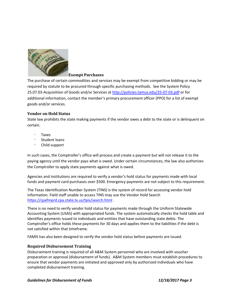

#### **Exempt Purchases**

The purchase of certain commodities and services may be exempt from competitive bidding or may be required by statute to be procured through specific purchasing methods. See the System Policy 25.07.03‐Acquisitiion of Goods and/or Services at http://policies.tamus.edu/25‐07‐03.pdf or for additional information, contact the member's primary procurement officer (PPO) for a list of exempt goods and/or services.

#### **Vendor on Hold Status**

State law prohibits the state making payments if the vendor owes a debt to the state or is delinquent on certain.

- Taxes
- **Student loans**
- Child support

In such cases, the Comptroller's office will process and create a payment but will not release it to the paying agency until the vendor pays what is owed. Under certain circumstances, the law also authorizes the Comptroller to apply state payments against what is owed.

Agencies and institutions are required to verify a vendor's hold status for payments made with local funds and payment card purchases over \$500. Emergency payments are not subject to this requirement.

The Texas Identification Number System (TINS) is the system of record for accessing vendor hold information. Field staff unable to access TINS may use the Vendor Hold Search https://cpafmprd.cpa.state.tx.us/tpis/search.html .

There is no need to verify vendor hold status for payments made through the Uniform Statewide Accounting System (USAS) with appropriated funds. The system automatically checks the hold table and identifies payments issued to individuals and entities that have outstanding state debts. The Comptroller's office holds these payments for 30 days and applies them to the liabilities if the debt is not satisfied within that timeframe.

FAMIS has also been designed to verify the vendor hold status before payments are issued.

#### **Required Disbursement Training**

Disbursement training is required of all A&M System personnel who are involved with voucher preparation or approval (disbursement of funds). A&M System members must establish procedures to ensure that vendor payments are initiated and approved only by authorized individuals who have completed disbursement training.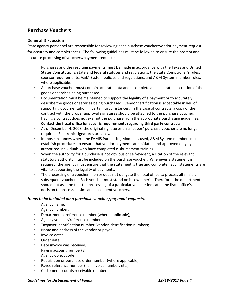# **Purchase Vouchers**

#### **General Discussion**

State agency personnel are responsible for reviewing each purchase voucher/vendor payment request for accuracy and completeness. The following guidelines must be followed to ensure the prompt and accurate processing of vouchers/payment requests:

- Purchases and the resulting payments must be made in accordance with the Texas and United States Constitutions, state and federal statutes and regulations, the State Comptroller's rules, sponsor requirements, A&M System policies and regulations, and A&M System member rules, where applicable.
- <sup>o</sup> A purchase voucher must contain accurate data and a complete and accurate description of the goods or services being purchased.
- Documentation must be maintained to support the legality of a payment or to accurately describe the goods or services being purchased. Vendor certification is acceptable in lieu of supporting documentation in certain circumstances. In the case of contracts, a copy of the contract with the proper approval signatures should be attached to the purchase voucher. Having a contract does not exempt the purchase from the appropriate purchasing guidelines. **Contact the fiscal office for specific requirements regarding third party contracts.**
- As of December 4, 2008, the original signatures on a "paper" purchase voucher are no longer required. Electronic signatures are allowed.
- In those instances where the FAMIS Purchasing Module is used, A&M System members must establish procedures to ensure that vendor payments are initiated and approved only by authorized individuals who have completed disbursement training.
- When the authority for a purchase is not obvious or self‐evident, a citation of the relevant statutory authority must be included on the purchase voucher. Whenever a statement is required, the agency must ensure that the statement is true and complete. Such statements are vital to supporting the legality of payments.
- The processing of a voucher in error does not obligate the fiscal office to process all similar, subsequent vouchers. Each voucher must stand on its own merit. Therefore, the department should not assume that the processing of a particular voucher indicates the fiscal office's decision to process all similar, subsequent vouchers.

#### *Items to be included on a purchase voucher/payment requests.*

- Agency name;
- Agency number;
- Departmental reference number (where applicable);
- Agency voucher/reference number;
- **Taxpayer identification number (vendor identification number);**
- Name and address of the vendor or payee;
- Invoice date:
- Order date;
- Date invoice was received;
- Paying account number(s);
- Agency object code;
- Requisition or purchase order number (where applicable);
- Payee reference number (i.e., invoice number, etc.);
- Customer accounts receivable number;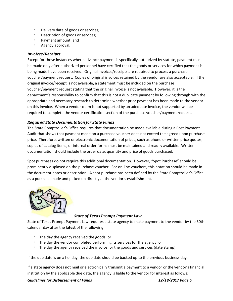- Delivery date of goods or services;
- Description of goods or services;
- Payment amount; and
- Agency approval.

#### *Invoices/Receipts*

Except for those instances where advance payment is specifically authorized by statute, payment must be made only after authorized personnel have certified that the goods or services for which payment is being made have been received. Original invoices/receipts are required to process a purchase voucher/payment request. Copies of original invoices retained by the vendor are also acceptable. If the original invoice/receipt is not available, a statement must be included on the purchase voucher/payment request stating that the original invoice is not available. However, it is the department's responsibility to confirm that this is not a duplicate payment by following through with the appropriate and necessary research to determine whether prior payment has been made to the vendor on this invoice. When a vendor claim is not supported by an adequate invoice, the vendor will be required to complete the vendor certification section of the purchase voucher/payment request.

#### *Required State Documentation for State Funds*

The State Comptroller's Office requires that documentation be made available during a Post Payment Audit that shows that payment made on a purchase voucher does not exceed the agreed upon purchase price. Therefore, written or electronic documentation of prices, such as phone or written price quotes, copies of catalog items, or internal order forms must be maintained and readily available. Written documentation should include the order date, quantity and price of goods purchased.

Spot purchases do not require this additional documentation. However, "Spot Purchase" should be prominently displayed on the purchase voucher. For on-line vouchers, this notation should be made in the document notes or description. A spot purchase has been defined by the State Comptroller's Office as a purchase made and picked up directly at the vendor's establishment.



#### *State of Texas Prompt Payment Law*

State of Texas Prompt Payment Law requires a state agency to make payment to the vendor by the 30th calendar day after the **latest** of the following:

- The day the agency received the goods; or
- The day the vendor completed performing its services for the agency; or
- The day the agency received the invoice for the goods and services (date stamp).

If the due date is on a holiday, the due date should be backed up to the previous business day.

If a state agency does not mail or electronically transmit a payment to a vendor or the vendor's financial institution by the applicable due date, the agency is liable to the vendor for interest as follows: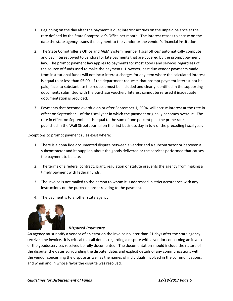- 1. Beginning on the day after the payment is due; interest accrues on the unpaid balance at the rate defined by the State Comptroller's Office per month. The interest ceases to accrue on the date the state agency issues the payment to the vendor or the vendor's financial institution.
- 2. The State Comptroller's Office and A&M System member fiscal offices' automatically compute and pay interest owed to vendors for late payments that are covered by the prompt payment law. The prompt payment law applies to payments for most goods and services regardless of the source of funds used to make the payments. However, past due vendor payments made from institutional funds will not incur interest charges for any item where the calculated interest is equal to or less than \$5.00. If the department requests that prompt payment interest not be paid, facts to substantiate the request must be included and clearly identified in the supporting documents submitted with the purchase voucher. Interest cannot be refused if inadequate documentation is provided.
- 3. Payments that become overdue on or after September 1, 2004, will accrue interest at the rate in effect on September 1 of the fiscal year in which the payment originally becomes overdue. The rate in effect on September 1 is equal to the sum of one percent plus the prime rate as published in the Wall Street Journal on the first business day in July of the preceding fiscal year.

Exceptions to prompt payment rules exist where:

- 1. There is a bona fide documented dispute between a vendor and a subcontractor or between a subcontractor and its supplier, about the goods delivered or the services performed that causes the payment to be late.
- 2. The terms of a federal contract, grant, regulation or statute prevents the agency from making a timely payment with federal funds.
- 3. The invoice is not mailed to the person to whom it is addressed in strict accordance with any instructions on the purchase order relating to the payment.
- 4. The payment is to another state agency.



#### *Disputed Payments*

An agency must notify a vendor of an error on the invoice no later than 21 days after the state agency receives the invoice. It is critical that all details regarding a dispute with a vendor concerning an invoice or the goods/services received be fully documented. The documentation should include the nature of the dispute, the dates surrounding the dispute, dates and explicit details of any communications with the vendor concerning the dispute as well as the names of individuals involved in the communications, and when and in whose favor the dispute was resolved.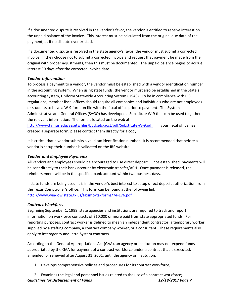If a documented dispute is resolved in the vendor's favor, the vendor is entitled to receive interest on the unpaid balance of the invoice. This interest must be calculated from the original due date of the payment, as if no dispute ever existed.

If a documented dispute is resolved in the state agency's favor, the vendor must submit a corrected invoice. If they choose not to submit a corrected invoice and request that payment be made from the original with proper adjustments, then this must be documented. The unpaid balance begins to accrue interest 30 days after the corrected invoice date.

#### *Vendor Information*

To process a payment to a vendor, the vendor must be established with a vendor identification number in the accounting system. When using state funds, the vendor must also be established in the State's accounting system, Uniform Statewide Accounting System (USAS). To be in compliance with IRS regulations, member fiscal offices should require all companies and individuals who are not employees or students to have a W‐9 form on file with the fiscal office prior to payment. The System Administrative and General Offices (SAGO) has developed a Substitute W‐9 that can be used to gather the relevant information. The form is located on the web at

http://www.tamus.edu/assets/files/budgets-acct/pdf/Substitute-W-9.pdf . If your fiscal office has created a separate form, please contact them directly for a copy.

It is critical that a vendor submits a valid tax identification number. It is recommended that before a vendor is setup their number is validated on the IRS website.

#### *Vendor and Employee Payments*

All vendors and employees should be encouraged to use direct deposit. Once established, payments will be sent directly to their bank account by electronic transfer/ACH. Once payment is released, the reimbursement will be in the specified bank account within two business days.

If state funds are being used, it is in the vendor's best interest to setup direct deposit authorization from the Texas Comptroller's office. This form can be found at the following link http://www.window.state.tx.us/taxinfo/taxforms/74‐176.pdf .

## *Contract Workforce*

Beginning September 1, 1999, state agencies and institutions are required to track and report information on workforce contracts of \$10,000 or more paid from state appropriated funds. For reporting purposes, contract worker is defined to mean an independent contractor, a temporary worker supplied by a staffing company, a contract company worker, or a consultant. These requirements also apply to interagency and intra‐System contracts.

According to the General Appropriations Act (GAA), an agency or institution may not expend funds appropriated by the GAA for payment of a contract workforce under a contract that is executed, amended, or renewed after August 31, 2001, until the agency or institution:

1. Develops comprehensive policies and procedures for its contract workforce;

*Guidelines for Disbursement of Funds 12/18/2017 Page 7* 2. Examines the legal and personnel issues related to the use of a contract workforce;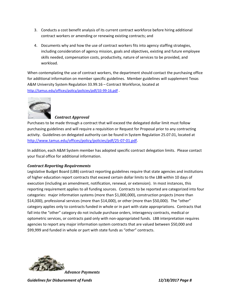- 3. Conducts a cost benefit analysis of its current contract workforce before hiring additional contract workers or amending or renewing existing contracts; and
- 4. Documents why and how the use of contract workers fits into agency staffing strategies, including consideration of agency mission, goals and objectives, existing and future employee skills needed, compensation costs, productivity, nature of services to be provided, and workload.

When contemplating the use of contract workers, the department should contact the purchasing office for additional information on member specific guidelines. Member guidelines will supplement Texas A&M University System Regulation 33.99.16 – Contract Workforce, located at http://tamus.edu/offices/policy/policies/pdf/33‐99‐16.pdf .



#### *Contract Approval*

Purchases to be made through a contract that will exceed the delegated dollar limit must follow purchasing guidelines and will require a requisition or Request for Proposal prior to any contracting activity. Guidelines on delegated authority can be found in System Regulation 25.07.01, located at http://www.tamus.edu/offices/policy/policies/pdf/25‐07‐01.pdf.

In addition, each A&M System member has adopted specific contract delegation limits. Please contact your fiscal office for additional information.

#### *Contract Reporting Requirements*

Legislative Budget Board (LBB) contract reporting guidelines require that state agencies and institutions of higher education report contracts that exceed certain dollar limits to the LBB within 10 days of execution (including an amendment, notification, renewal, or extension). In most instances, this reporting requirement applies to all funding sources. Contracts to be reported are categorized into four categories: major information systems (more than \$1,000,000), construction projects (more than \$14,000), professional services (more than \$14,000), or other (more than \$50,000). The "other" category applies only to contracts funded in whole or in part with state appropriations. Contracts that fall into the "other" category do not include purchase orders, interagency contracts, medical or optometric services, or contracts paid only with non‐appropriated funds. LBB interpretation requires agencies to report any major information system contracts that are valued between \$50,000 and \$99,999 and funded in whole or part with state funds as "other" contracts.



*Advance Payments*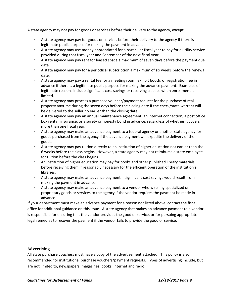A state agency may not pay for goods or services before their delivery to the agency, **except**:

- A state agency may pay for goods or services before their delivery to the agency if there is legitimate public purpose for making the payment in advance.
- A state agency may use money appropriated for a particular fiscal year to pay for a utility service provided during that fiscal year and September of the next fiscal year.
- A state agency may pay rent for leased space a maximum of seven days before the payment due date.
- A state agency may pay for a periodical subscription a maximum of six weeks before the renewal date.
- A state agency may pay a rental fee for a meeting room, exhibit booth, or registration fee in advance if there is a legitimate public purpose for making the advance payment. Examples of legitimate reasons include significant cost-savings or reserving a space when enrollment is limited.
- A state agency may process a purchase voucher/payment request for the purchase of real property anytime during the seven days before the closing date if the check/state warrant will be delivered to the seller no earlier than the closing date.
- A state agency may pay an annual maintenance agreement, an internet connection, a post office box rental, insurance, or a surety or honesty bond in advance, regardless of whether it covers more than one fiscal year.
- A state agency may make an advance payment to a federal agency or another state agency for goods purchased from the agency if the advance payment will expedite the delivery of the goods.
- A state agency may pay tuition directly to an institution of higher education not earlier than the 6 weeks before the class begins. However, a state agency may not reimburse a state employee for tuition before the class begins.
- An institution of higher education may pay for books and other published library materials before receiving them if reasonably necessary for the efficient operation of the institution's libraries.
- A state agency may make an advance payment if significant cost savings would result from making the payment in advance.
- A state agency may make an advance payment to a vendor who is selling specialized or proprietary goods or services to the agency if the vendor requires the payment be made in advance.

If your department must make an advance payment for a reason not listed above, contact the fiscal office for additional guidance on this issue. A state agency that makes an advance payment to a vendor is responsible for ensuring that the vendor provides the good or service, or for pursuing appropriate legal remedies to recover the payment if the vendor fails to provide the good or service.

#### **Advertising**

All state purchase vouchers must have a copy of the advertisement attached. This policy is also recommended for institutional purchase vouchers/payment requests. Types of advertising include, but are not limited to, newspapers, magazines, books, internet and radio.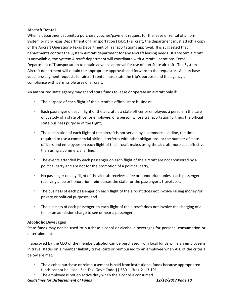#### **Aircraft Rental**

When a department submits a purchase voucher/payment request for the lease or rental of a non-System or non‐Texas Department of Transportation (TxDOT) aircraft, the department must attach a copy of the Aircraft Operations‐Texas Department of Transportation's approval. It is suggested that departments contact the System Aircraft department for any aircraft leasing needs. If a System aircraft is unavailable, the System Aircraft department will coordinate with Aircraft Operations‐Texas Department of Transportation to obtain advance approval for use of non‐State aircraft. The System Aircraft department will obtain the appropriate approvals and forward to the requestor. All purchase vouchers/payment requests for aircraft rental must state the trip's purpose and the agency's compliance with permissible uses of aircraft.

An authorized state agency may spend state funds to lease or operate an aircraft only if:

- $\degree$  The purpose of each flight of the aircraft is official state business;
- <sup>o</sup> Each passenger on each flight of the aircraft is a state officer or employee, a person in the care or custody of a state officer or employee, or a person whose transportation furthers the official state business purpose of the flight;
- The destination of each flight of the aircraft is not served by a commercial airline, the time required to use a commercial airline interferes with other obligations, or the number of state officers and employees on each flight of the aircraft makes using the aircraft more cost effective than using a commercial airline;
- The events attended by each passenger on each flight of the aircraft are not sponsored by a political party and are not for the promotion of a political party;
- No passenger on any flight of the aircraft receives a fee or honorarium unless each passenger receiving a fee or honorarium reimburses the state for the passenger's travel cost;
- $\degree$  The business of each passenger on each flight of the aircraft does not involve raising money for private or political purposes; and
- The business of each passenger on each flight of the aircraft does not involve the charging of a fee or an admission charge to see or hear a passenger.

#### **Alcoholic Beverages**

State funds may not be used to purchase alcohol or alcoholic beverages for personal consumption or entertainment.

If approved by the CEO of the member, alcohol can be purchased from local funds while an employee is in travel status on a member liability travel card or reimbursed to an employee when ALL of the criteria below are met.

- The alcohol purchase or reimbursement is paid from institutional funds because appropriated funds cannot be used. See Tex. Gov't Code §§ 660.113(e), 2113.101.
- The employee is not on active duty when the alcohol is consumed.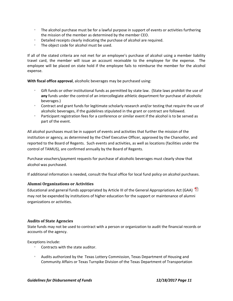- The alcohol purchase must be for a lawful purpose in support of events or activities furthering the mission of the member as determined by the member CEO.
- Detailed receipts clearly indicating the purchase of alcohol are required.
- The object code for alcohol must be used.

If all of the stated criteria are not met for an employee's purchase of alcohol using a member liability travel card, the member will issue an account receivable to the employee for the expense. The employee will be placed on state hold if the employee fails to reimburse the member for the alcohol expense.

**With fiscal office approval**, alcoholic beverages may be purchased using:

- Gift funds or other institutional funds as permitted by state law. (State laws prohibit the use of **any** funds under the control of an intercollegiate athletic department for purchase of alcoholic beverages.)
- Contract and grant funds for legitimate scholarly research and/or testing that require the use of alcoholic beverages, if the guidelines stipulated in the grant or contract are followed.
- Participant registration fees for a conference or similar event if the alcohol is to be served as part of the event.

All alcohol purchases must be in support of events and activities that further the mission of the institution or agency, as determined by the Chief Executive Officer, approved by the Chancellor, and reported to the Board of Regents. Such events and activities, as well as locations (facilities under the control of TAMUS), are confirmed annually by the Board of Regents.

Purchase vouchers/payment requests for purchase of alcoholic beverages must clearly show that alcohol was purchased.

If additional information is needed, consult the fiscal office for local fund policy on alcohol purchases.

#### **Alumni Organizations or Activities**

Educational and general funds appropriated by Article III of the General Appropriations Act (GAA)  $\overline{E}$ may not be expended by institutions of higher education for the support or maintenance of alumni organizations or activities.

#### **Audits of State Agencies**

State funds may not be used to contract with a person or organization to audit the financial records or accounts of the agency.

Exceptions include:

- Contracts with the state auditor.
- Audits authorized by the Texas Lottery Commission, Texas Department of Housing and Community Affairs or Texas Turnpike Division of the Texas Department of Transportation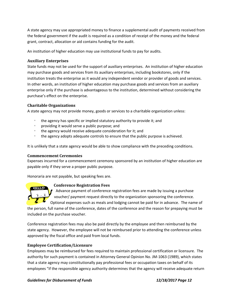A state agency may use appropriated money to finance a supplemental audit of payments received from the federal government if the audit is required as a condition of receipt of the money and the federal grant, contract, allocation or aid contains funding for the audit.

An institution of higher education may use institutional funds to pay for audits.

#### **Auxiliary Enterprises**

State funds may not be used for the support of auxiliary enterprises. An institution of higher education may purchase goods and services from its auxiliary enterprises, including bookstores, only if the institution treats the enterprise as it would any independent vendor or provider of goods and services. In other words, an institution of higher education may purchase goods and services from an auxiliary enterprise only if the purchase is advantageous to the institution, determined without considering the purchase's effect on the enterprise.

#### **Charitable Organizations**

A state agency may not provide money, goods or services to a charitable organization unless:

- the agency has specific or implied statutory authority to provide it; and
- providing it would serve a public purpose; and
- the agency would receive adequate consideration for it; and
- the agency adopts adequate controls to ensure that the public purpose is achieved.

It is unlikely that a state agency would be able to show compliance with the preceding conditions.

#### **Commencement Ceremonies**

Expenses incurred for a commencement ceremony sponsored by an institution of higher education are payable only if they serve a proper public purpose.

Honoraria are not payable, but speaking fees are.

#### **Conference Registration Fees**



Advance payment of conference registration fees are made by issuing a purchase voucher/ payment request directly to the organization sponsoring the conference.

Optional expenses such as meals and lodging cannot be paid for in advance. The name of the person, full name of the conference, dates of the conference and the reason for prepaying must be included on the purchase voucher.

Conference registration fees may also be paid directly by the employee and then reimbursed by the state agency. However, the employee will not be reimbursed prior to attending the conference unless approved by the fiscal office and paid from local funds.

#### **Employee Certification/Licensure**

Employees may be reimbursed for fees required to maintain professional certification or licensure. The authority for such payment is contained in Attorney General Opinion No. JM‐1063 (1989), which states that a state agency may constitutionally pay professional fees or occupation taxes on behalf of its employees "if the responsible agency authority determines that the agency will receive adequate return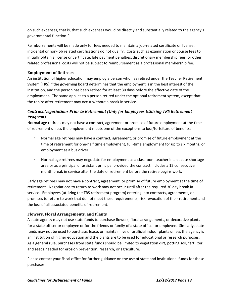on such expenses, that is, that such expenses would be directly and substantially related to the agency's governmental function."

Reimbursements will be made only for fees needed to maintain a job-related certificate or license; incidental or non‐job related certifications do not qualify. Costs such as examination or course fees to initially obtain a license or certificate, late payment penalties, discretionary membership fees, or other related professional costs will not be subject to reimbursement as a professional membership fee.

#### **Employment of Retirees**

An institution of higher education may employ a person who has retired under the Teacher Retirement System (TRS) if the governing board determines that the employment is in the best interest of the institution, and the person has been retired for at least 30 days before the effective date of the employment. The same applies to a person retired under the optional retirement system, except that the rehire after retirement may occur without a break in service.

# *Contract Negotiations Prior to Retirement (Only for Employees Utilizing TRS Retirement Program)*

Normal age retirees may not have a contract, agreement or promise of future employment at the time of retirement unless the employment meets one of the exceptions to loss/forfeiture of benefits:

- Normal age retirees may have a contract, agreement, or promise of future employment at the time of retirement for one-half time employment, full-time employment for up to six months, or employment as a bus driver.
- Normal age retirees may negotiate for employment as a classroom teacher in an acute shortage area or as a principal or assistant principal provided the contract includes a 12 consecutive month break in service after the date of retirement before the retiree begins work.

Early age retirees may not have a contract, agreement, or promise of future employment at the time of retirement. Negotiations to return to work may not occur until after the required 30 day break in service. Employees (utilizing the TRS retirement program) entering into contracts, agreements, or promises to return to work that do not meet these requirements, risk revocation of their retirement and the loss of all associated benefits of retirement.

#### **Flowers, Floral Arrangements, and Plants**

A state agency may not use state funds to purchase flowers, floral arrangements, or decorative plants for a state officer or employee or for the friends or family of a state officer or employee. Similarly, state funds may not be used to purchase, lease, or maintain live or artificial indoor plants unless the agency is an institution of higher education **and** the plants are to be used for educational or research purposes. As a general rule, purchases from state funds should be limited to vegetation dirt, potting soil, fertilizer, and seeds needed for erosion prevention, research, or agriculture.

Please contact your fiscal office for further guidance on the use of state and institutional funds for these purchases.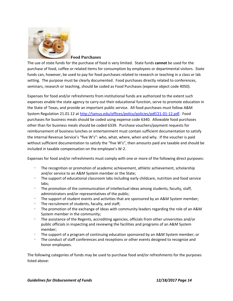

#### **Food Purchases**

The use of state funds for the purchase of food is very limited. State funds **cannot** be used for the purchase of food, coffee or related items for consumption by employees or departmental visitors. State funds can, however, be used to pay for food purchases related to research or teaching in a class or lab setting. The purpose must be clearly documented. Food purchases directly related to conferences, seminars, research or teaching, should be coded as Food Purchases (expense object code 4050).

Expenses for food and/or refreshments from institutional funds are authorized to the extent such expenses enable the state agency to carry out their educational function, serve to promote education in the State of Texas, and provide an important public service. All food purchases must follow A&M System Regulation 21.01.12 at http://tamus.edu/offices/policy/policies/pdf/21‐01‐12.pdf. Food purchases for business meals should be coded using expense code 6340. Allowable food purchases other than for business meals should be coded 6339. Purchase vouchers/payment requests for reimbursement of business lunches or entertainment must contain sufficient documentation to satisfy the Internal Revenue Service's "five W's": who, what, where, when and why. If the voucher is paid without sufficient documentation to satisfy the "five W's", then amounts paid are taxable and should be included in taxable compensation on the employee's W‐2.

Expenses for food and/or refreshments must comply with one or more of the following direct purposes:

- The recognition or promotion of academic achievement, athletic achievement, scholarship and/or service to an A&M System member or the State;
- The support of educational classroom labs including early childcare, nutrition and food service labs;
- The promotion of the communication of intellectual ideas among students, faculty, staff, administrators and/or representatives of the public;
- The support of student events and activities that are sponsored by an A&M System member;
- $\degree$  The recruitment of students, faculty, and staff;
- The promotion of the exchange of ideas with community leaders regarding the role of an A&M System member in the community;
- <sup>o</sup> The assistance of the Regents, accrediting agencies, officials from other universities and/or public officials in inspecting and reviewing the facilities and programs of an A&M System member;
- The support of a program of continuing education sponsored by an A&M System member; or
- The conduct of staff conferences and receptions or other events designed to recognize and honor employees.

The following categories of funds may be used to purchase food and/or refreshments for the purposes listed above: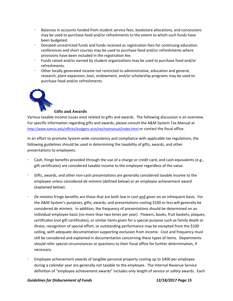- Balances in accounts funded from student service fees, bookstore allocations, and concessions may be used to purchase food and/or refreshments to the extent to which such funds have been budgeted.
- Donated unrestricted funds and funds received as registration fees for continuing education conferences and short courses may be used to purchase food and/or refreshments where provisions have been included in the registration fee.
- Funds raised and/or earned by student organizations may be used to purchase food and/or refreshments.
- Other locally generated income not restricted to administrative, education and general, research, plant expansion, loan, endowment, and/or scholarship programs may be used to purchase food and/or refreshments.



#### **Gifts and Awards**

Various taxable income issues exist related to gifts and awards. The following discussion is an overview. For specific information regarding gifts and awards, please consult the A&M System Tax Manual at http://www.tamus.edu/offices/budgets-acct/tax/taxmanual/index.html or contact the fiscal office.

In an effort to promote System‐wide consistency and compliance with applicable tax regulations, the following guidelines should be used in determining the taxability of gifts, awards, and other presentations to employees:

- Cash, fringe benefits provided through the use of a charge or credit card, and cash equivalents (e.g., gift certificates) are considered taxable income to the employee regardless of the value.
- Gifts, awards, and other non‐cash presentations are generally considered taxable income to the employee unless considered *de minimis* (defined below) or an employee achievement award (explained below).
- *De minimis* fringe benefits are those that are both low in cost and given on an infrequent basis. For the A&M System's purposes, gifts, awards, and presentations costing \$100 or less will generally be considered *de minimis*. In addition, the frequency of presentations should be determined on an individual employee basis (no more than two times per year). Flowers, books, fruit baskets, plaques, certificates (not gift certificates), or similar items given for a special purpose such as family death or illness, recognition of special effort, or outstanding performance may be excepted from the \$100 ceiling, with adequate documentation supporting exclusion from income. Cost and frequency must still be considered and explained in documentation concerning these types of items. Departments should refer special circumstances or questions to their fiscal office for further determination, if necessary.
- Employee achievement awards of tangible personal property costing up to \$400 per employee during a calendar year are generally not taxable to the employee. The Internal Revenue Service definition of "employee achievement awards" includes only length of service or safety awards. Each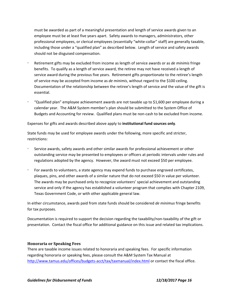must be awarded as part of a meaningful presentation and length of service awards given to an employee must be at least five years apart. Safety awards to managers, administrators, other professional employees, or clerical employees (essentially "white‐collar" staff) are generally taxable, including those under a "qualified plan" as described below. Length of service and safety awards should not be disguised compensation.

- Retirement gifts may be excluded from income as length of service awards or as *de minimis* fringe benefits. To qualify as a length of service award, the retiree may not have received a length of service award during the previous five years. Retirement gifts proportionate to the retiree's length of service may be accepted from income as *de minimis*, without regard to the \$100 ceiling. Documentation of the relationship between the retiree's length of service and the value of the gift is essential.
- "Qualified plan" employee achievement awards are not taxable up to \$1,600 per employee during a calendar year. The A&M System member's plan should be submitted to the System Office of Budgets and Accounting for review. Qualified plans must be non‐cash to be excluded from income.

Expenses for gifts and awards described above apply to **institutional fund sources only**.

State funds may be used for employee awards under the following, more specific and stricter, restrictions:

- Service awards, safety awards and other similar awards for professional achievement or other outstanding service may be presented to employees or officers at periodic intervals under rules and regulations adopted by the agency. However, the award must not exceed \$50 per employee.
- $\degree$  For awards to volunteers, a state agency may expend funds to purchase engraved certificates, plaques, pins, and other awards of a similar nature that do not exceed \$50 in value per volunteer. The awards may be purchased only to recognize volunteers' special achievement and outstanding service and only if the agency has established a volunteer program that complies with Chapter 2109, Texas Government Code, or with other applicable general law.

In either circumstance, awards paid from state funds should be considered *de minimus* fringe benefits for tax purposes.

Documentation is required to support the decision regarding the taxability/non-taxability of the gift or presentation. Contact the fiscal office for additional guidance on this issue and related tax implications.

#### **Honoraria or Speaking Fees**

There are taxable income issues related to honoraria and speaking fees. For specific information regarding honoraria or speaking fees, please consult the A&M System Tax Manual at http://www.tamus.edu/offices/budgets-acct/tax/taxmanual/index.html or contact the fiscal office.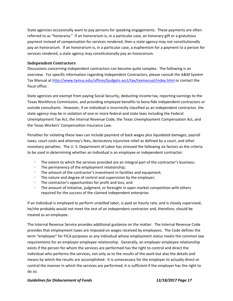State agencies occasionally want to pay persons for speaking engagements. These payments are often referred to as "honoraria." If an honorarium is, in a particular case, an honorary gift or a gratuitous payment instead of compensation for services rendered, then a state agency may not constitutionally pay an honorarium. If an honorarium is, in a particular case, a euphemism for a payment to a person for services rendered, a state agency may constitutionally pay an honorarium.

#### **Independent Contractors**

Discussions concerning independent contractors can become quite complex. The following is an overview. For specific information regarding Independent Contractors, please consult the A&M System Tax Manual at http://www.tamus.edu/offices/budgets‐acct/tax/taxmanual/index.html or contact the fiscal office.

State agencies are exempt from paying Social Security, deducting income tax, reporting earnings to the Texas Workforce Commission, and providing employee benefits to bona fide independent contractors or outside consultants. However, if an individual is incorrectly classified as an independent contractor, the state agency may be in violation of one or more federal and state laws including the Federal Unemployment Tax Act, the Internal Revenue Code, the Texas Unemployment Compensation Act, and the Texas Workers' Compensation Insurance Law.

Penalties for violating these laws can include payment of back wages plus liquidated damages, payroll taxes, court costs and attorney's fees, declaratory injunctive relief as defined by a court, and other monetary penalties. The U. S. Department of Labor has stressed the following six factors as the criteria to be used in determining whether an individual is an employee or independent contractor:

- The extent to which the services provided are an integral part of the contractor's business;
- The permanency of the employment relationship;
- $\degree$  The amount of the contractor's investment in facilities and equipment;
- The nature and degree of control and supervision by the employer;
- The contractor's opportunities for profit and loss; and
- The amount of initiative, judgment, or foresight in open market competition with others required for the success of the claimed independent enterprise.

If an individual is employed to perform unskilled labor, is paid an hourly rate, and is closely supervised, he/she probably would not meet the test of an independent contractor and, therefore, should be treated as an employee.

The Internal Revenue Service provides additional guidance on the matter. The Internal Revenue Code provides that employment taxes are imposed on wages received by employees. The Code defines the term "employee" for FICA purposes as any individual whose employment status meets the common law requirements for an employer‐employee relationship. Generally, an employer‐employee relationship exists if the person for whom the services are performed has the right to control and direct the individual who performs the services, not only as to the results of the work but also the details and means by which the results are accomplished. It is unnecessary for the employer to actually direct or control the manner in which the services are performed; it is sufficient if the employer has the right to do so.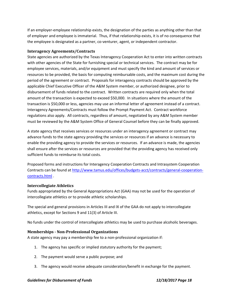If an employer‐employee relationship exists, the designation of the parties as anything other than that of employer and employee is immaterial. Thus, if that relationship exists, it is of no consequence that the employee is designated as a partner, co-venturer, agent, or independent contractor.

#### **Interagency Agreements/Contracts**

State agencies are authorized by the Texas Interagency Cooperation Act to enter into written contracts with other agencies of the State for furnishing special or technical services. The contract may be for employee services, materials, and/or equipment and must specify the kind and amount of services or resources to be provided, the basis for computing reimbursable costs, and the maximum cost during the period of the agreement or contract. Proposals for interagency contracts should be approved by the applicable Chief Executive Officer of the A&M System member, or authorized designee, prior to disbursement of funds related to the contract. Written contracts are required only when the total amount of the transaction is expected to exceed \$50,000. In situations where the amount of the transaction is \$50,000 or less, agencies may use an informal letter of agreement instead of a contract. Interagency Agreements/Contracts must follow the Prompt Payment Act. Contract workforce regulations also apply. All contracts, regardless of amount, negotiated by any A&M System member must be reviewed by the A&M System Office of General Counsel before they can be finally approved.

A state agency that receives services or resources under an interagency agreement or contract may advance funds to the state agency providing the services or resources if an advance is necessary to enable the providing agency to provide the services or resources. If an advance is made, the agencies shall ensure after the services or resources are provided that the providing agency has received only sufficient funds to reimburse its total costs.

Proposed forms and instructions for Interagency Cooperation Contracts and Intrasystem Cooperation Contracts can be found at http://www.tamus.edu/offices/budgets‐acct/contracts/general‐cooperation‐ contracts.html .

#### **Intercollegiate Athletics**

Funds appropriated by the General Appropriations Act (GAA) may not be used for the operation of intercollegiate athletics or to provide athletic scholarships.

The special and general provisions in Articles III and IX of the GAA do not apply to intercollegiate athletics, except for Sections 9 and 11(3) of Article III.

No funds under the control of intercollegiate athletics may be used to purchase alcoholic beverages.

#### **Memberships ‐ Non‐Professional Organizations**

A state agency may pay a membership fee to a non‐professional organization if:

- 1. The agency has specific or implied statutory authority for the payment;
- 2. The payment would serve a public purpose; and
- 3. The agency would receive adequate consideration/benefit in exchange for the payment.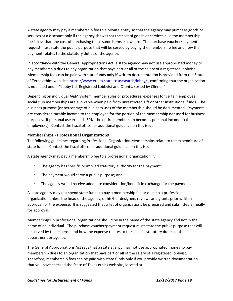A state agency may pay a membership fee to a private entity so that the agency may purchase goods or services at a discount only if the agency shows that the cost of goods or services plus the membership fee is less than the cost of purchasing these same items elsewhere. The purchase voucher/payment request must state the public purpose that will be served by paying the membership fee and how the payment relates to the statutory duties of the agency.

In accordance with the General Appropriations Act, a state agency may not use appropriated money to pay membership dues to any organization that pays part or all of the salary of a registered lobbyist. Membership fees can be paid with state funds **only if** written documentation is provided from the State of Texas ethics web site, https://www.ethics.state.tx.us/search/lobby/ , confirming that the organization is not listed under "Lobby List-Registered Lobbyist and Clients, sorted by Clients."

Depending on individual A&M System member rules or procedures, expenses for certain employee social club memberships are allowable when paid from unrestricted gift or other institutional funds. The business purpose (or percentage of business use) of the membership should be documented. Payments are considered taxable income to the employee for the portion of the membership not used for business purposes. If personal use exceeds 50%, the entire membership becomes personal income to the employee(s). Contact the fiscal office for additional guidance on this issue.

#### **Memberships ‐ Professional Organizations**

The following guidelines regarding Professional Organization Memberships relate to the expenditure of state funds. Contact the fiscal office for additional guidance on this issue.

A state agency may pay a membership fee to a professional organization if:

- $\degree$  The agency has specific or implied statutory authority for the payment;
- The payment would serve a public purpose; and
- The agency would receive adequate consideration/benefit in exchange for the payment.

A state agency may not spend state funds to pay a membership fee or dues to a professional organization unless the head of the agency, or his/her designee, reviews and grants prior written approval for the expense. It is suggested that a list of organizations be prepared and submitted annually for approval.

Memberships in professional organizations should be in the name of the state agency and not in the name of an individual. The purchase voucher/payment request must state the public purpose that will be served by the expense and how the expense relates to the specific statutory duties of the department or agency.

The General Appropriations Act says that a state agency may not use appropriated money to pay membership dues to an organization that pays part or all of the salary of a registered lobbyist. Therefore, membership fees can be paid with state funds only if you provide written documentation that you have checked the State of Texas ethics web site, located at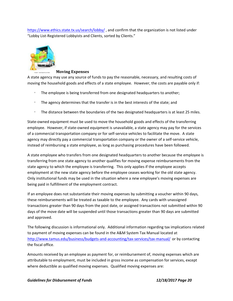https://www.ethics.state.tx.us/search/lobby/ , and confirm that the organization is not listed under "Lobby List‐Registered Lobbyists and Clients, sorted by Clients."



#### **Moving Expenses**

A state agency may use any source of funds to pay the reasonable, necessary, and resulting costs of moving the household goods and effects of a state employee. However, the costs are payable only if:

- The employee is being transferred from one designated headquarters to another;
- The agency determines that the transfer is in the best interests of the state; and
- The distance between the boundaries of the two designated headquarters is at least 25 miles.

State‐owned equipment must be used to move the household goods and effects of the transferring employee. However, if state-owned equipment is unavailable, a state agency may pay for the services of a commercial transportation company or for self‐service vehicles to facilitate the move. A state agency may directly pay a commercial transportation company or the owner of a self-service vehicle, instead of reimbursing a state employee, as long as purchasing procedures have been followed.

A state employee who transfers from one designated headquarters to another because the employee is transferring from one state agency to another qualifies for moving expense reimbursements from the state agency to which the employee is transferring. This only applies if the employee accepts employment at the new state agency before the employee ceases working for the old state agency. Only institutional funds may be used in the situation where a *new* employee's moving expenses are being paid in fulfillment of the employment contract.

If an employee does not substantiate their moving expenses by submitting a voucher within 90 days, these reimbursements will be treated as taxable to the employee. Any cards with unassigned transactions greater than 90 days from the post date, or assigned transactions not submitted within 90 days of the move date will be suspended until those transactions greater than 90 days are submitted and approved.

The following discussion is informational only. Additional information regarding tax implications related to payment of moving expenses can be found in the A&M System Tax Manual located at http://www.tamus.edu/business/budgets-and-accounting/tax-services/tax-manual/ or by contacting the fiscal office.

Amounts received by an employee as payment for, or reimbursement of, moving expenses which are attributable to employment, must be included in gross income as compensation for services, except where deductible as qualified moving expenses. Qualified moving expenses are: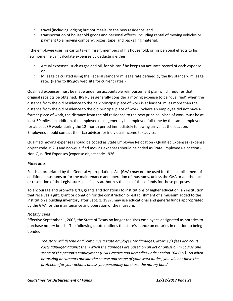- travel (including lodging but not meals) to the new residence, and
- **transportation of household goods and personal effects, including rental of moving vehicles or** payment to a moving company, boxes, tape, and packaging material.

If the employee uses his car to take himself, members of his household, or his personal effects to his new home, he can calculate expenses by deducting either:

- Actual expenses, such as gas and oil, for his car if he keeps an accurate record of each expense or
- Mileage calculated using the Federal standard mileage rate defined by the IRS standard mileage rate. (Refer to IRS.gov web site for current rates.)

Qualified expenses must be made under an accountable reimbursement plan which requires that original receipts be obtained. IRS Rules generally consider a moving expense to be "qualified" when the distance from the old residence to the new principal place of work is at least 50 miles more than the distance from the old residence to the old principal place of work. Where an employee did not have a former place of work, the distance from the old residence to the new principal place of work must be at least 50 miles. In addition, the employee must generally be employed full-time by the same employer for at least 39 weeks during the 12‐month period immediately following arrival at the location. Employees should contact their tax advisor for individual income tax advice.

Qualified moving expenses should be coded as State Employee Relocation ‐ Qualified Expenses (expense object code 1925) and non‐qualified moving expenses should be coded as State Employee Relocation ‐ Non‐Qualified Expenses (expense object code 1926).

#### **Museums**

Funds appropriated by the General Appropriations Act (GAA) may not be used for the establishment of additional museums or for the maintenance and operation of museums, unless the GAA or another act or resolution of the Legislature specifically authorizes the use of those funds for those purposes.

To encourage and promote gifts, grants and donations to institutions of higher education, an institution that receives a gift, grant or donation for the construction or establishment of a museum added to the institution's building inventory after Sept. 1, 1997, may use educational and general funds appropriated by the GAA for the maintenance and operation of the museum.

#### **Notary Fees**

Effective September 1, 2002, the State of Texas no longer requires employees designated as notaries to purchase notary bonds. The following quote outlines the state's stance on notaries in relation to being bonded:

*The state will defend and reimburse a state employee for damages, attorney's fees and court costs adjudged against them when the damages are based on an act or omission in course and scope of the person's employment (Civil Practice and Remedies Code Section 104.001). So when notarizing documents outside the course and scope of your work duties, you will not have the protection for your actions unless you personally purchase the notary bond.*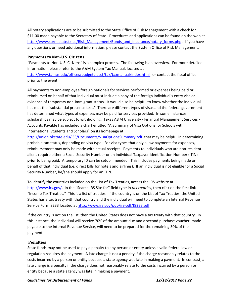All notary applications are to be submitted to the State Office of Risk Management with a check for \$11.00 made payable to the Secretary of State. Procedures and applications can be found on the web at http://www.sorm.state.tx.us/Risk\_Management/Bonds\_and\_Insurance/notary\_forms.php . If you have any questions or need additional information, please contact the System Office of Risk Management.

#### **Payments to Non‐U.S. Citizens**

"Payments to Non‐U.S. Citizens" is a complex process. The following is an overview. For more detailed information, please refer to the A&M System Tax Manual, located at http://www.tamus.edu/offices/budgets‐acct/tax/taxmanual/index.html , or contact the fiscal office prior to the event.

All payments to non‐employee foreign nationals for services performed or expenses being paid or reimbursed on behalf of that individual must include a copy of the foreign individual's entry visa or evidence of temporary non‐immigrant status. It would also be helpful to know whether the individual has met the "substantial presence test." There are different types of visas and the federal government has determined what types of expenses may be paid for services provided. In some instances, scholarships may be subject to withholding. Texas A&M University - Financial Management Services -Accounts Payable has included a chart entitled "A Summary of Visa Options for Schools with International Students and Scholars" on its homepage at

http://union.okstate.edu/ISS/Documents/VisaOptionsSummary.pdf that may be helpful in determining probable tax status, depending on visa type. For visa types that only allow payments for expenses, reimbursement may only be made with actual receipts. Payments to individuals who are non-resident aliens require either a Social Security Number or an Individual Taxpayer Identification Number (ITIN) **prior** to being paid. A temporary ID can be setup if needed. This includes payments being made on behalf of that individual (i.e. direct bills for hotels and airlines). If an individual is not eligible for a Social Security Number, he/she should apply for an ITIN.

To identify the countries included on the List of Tax Treaties, access the IRS website at http://www.irs.gov/. In the "Search IRS Site for" field type in *tax treaties*, then click on the first link "Income Tax Treaties." This is a list of treaties. If the country is on the List of Tax Treaties, the United States has a tax treaty with that country and the individual will need to complete an Internal Revenue Service Form 8233 located at http://www.irs.gov/pub/irs-pdf/f8233.pdf.

If the country is not on the list, then the United States does not have a tax treaty with that country. In this instance, the individual will receive 70% of the amount due and a second purchase voucher, made payable to the Internal Revenue Service, will need to be prepared for the remaining 30% of the payment.

#### **Penalties**

State funds may not be used to pay a penalty to any person or entity unless a valid federal law or regulation requires the payment. A late charge is not a penalty if the charge reasonably relates to the costs incurred by a person or entity because a state agency was late in making a payment. In contrast, a late charge is a penalty if the charge does not reasonably relate to the costs incurred by a person or entity because a state agency was late in making a payment.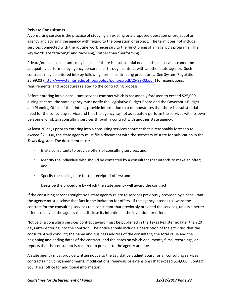#### **Private Consultants**

A consulting service is the practice of studying an existing or a proposed operation or project of an agency and advising the agency with regard to the operation or project. The term does not include services connected with the routine work necessary to the functioning of an agency's programs. The key words are "studying" and "advising," rather than "performing."

Private/outside consultants may be used if there is a substantial need and such services cannot be adequately performed by agency personnel or through contract with another state agency. Such contracts may be entered into by following normal contracting procedures. See System Regulation 25.99.03 (http://www.tamus.edu/offices/policy/policies/pdf/25‐99‐03.pdf ) for exemptions, requirements, and procedures related to the contracting process.

Before entering into a consultant services contract which is reasonably foreseen to exceed \$25,000 during its term, the state agency must notify the Legislative Budget Board and the Governor's Budget and Planning Office of their intent, provide information that demonstrates that there is a substantial need for the consulting service and that the agency cannot adequately perform the services with its own personnel or obtain consulting services through a contract with another state agency.

At least 30 days prior to entering into a consulting services contract that is reasonably foreseen to exceed \$25,000, the state agency must file a document with the secretary of state for publication in the *Texas Register*. The document must:

- Invite consultants to provide offers of consulting services; and
- $\degree$  Identify the individual who should be contacted by a consultant that intends to make an offer; and
- **Specify the closing date for the receipt of offers; and**
- Describe the procedure by which the state agency will award the contract.

If the consulting services sought by a state agency relate to services previously provided by a consultant, the agency must disclose that fact in the invitation for offers. If the agency intends to award the contract for the consulting services to a consultant that previously provided the services, unless a better offer is received, the agency must disclose its intention in the invitation for offers.

Notice of a consulting services contract award must be published in the Texas Register no later than 20 days after entering into the contract. The notice should include a description of the activities that the consultant will conduct; the name and business address of the consultant; the total value and the beginning and ending dates of the contract; and the dates on which documents, films, recordings, or reports that the consultant is required to present to the agency are due.

A state agency must provide written notice to the Legislative Budget Board for all consulting services contracts (including amendments, modifications, renewals or extensions) that exceed \$14,000. Contact your fiscal office for additional information.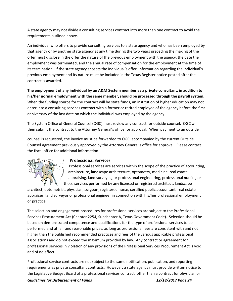A state agency may not divide a consulting services contract into more than one contract to avoid the requirements outlined above.

An individual who offers to provide consulting services to a state agency and who has been employed by that agency or by another state agency at any time during the two years preceding the making of the offer must disclose in the offer the nature of the previous employment with the agency, the date the employment was terminated, and the annual rate of compensation for the employment at the time of its termination. If the state agency accepts the individual's offer, information regarding the individual's previous employment and its nature must be included in the Texas Register notice posted after the contract is awarded.

**The employment of any individual by an A&M System member as a private consultant, in addition to his/her normal employment with the same member, should be processed through the payroll system.** When the funding source for the contract will be state funds, an institution of higher education may not enter into a consulting services contract with a former or retired employee of the agency before the first anniversary of the last date on which the individual was employed by the agency.

The System Office of General Counsel (OGC) must review any contract for outside counsel. OGC will then submit the contract to the Attorney General's office for approval. When payment to an outside

counsel is requested, the invoice must be forwarded to OGC, accompanied by the current Outside Counsel Agreement previously approved by the Attorney General's office for approval. Please contact the fiscal office for additional information.



#### **Professional Services**

Professional services are services within the scope of the practice of accounting, architecture, landscape architecture, optometry, medicine, real estate appraising, land surveying or professional engineering, professional nursing or those services performed by any licensed or registered architect, landscape

architect, optometrist, physician, surgeon, registered nurse, certified public accountant, real estate appraiser, land surveyor or professional engineer in connection with his/her professional employment or practice.

The selection and engagement procedures for professional services are subject to the Professional Services Procurement Act (Chapter 2254, Subchapter A, Texas Government Code). Selection should be based on demonstrated competence and qualifications for the type of professional services to be performed and at fair and reasonable prices, as long as professional fees are consistent with and not higher than the published recommended practices and fees of the various applicable professional associations and do not exceed the maximum provided by law. Any contract or agreement for professional services in violation of any provisions of the Professional Services Procurement Act is void and of no effect.

*Guidelines for Disbursement of Funds 12/18/2017 Page 24* Professional service contracts are not subject to the same notification, publication, and reporting requirements as private consultant contracts. However, a state agency must provide written notice to the Legislative Budget Board of a professional services contract, other than a contract for physician or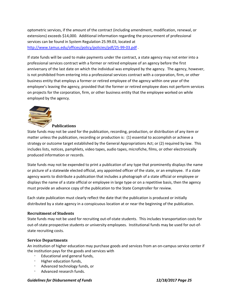optometric services, if the amount of the contract (including amendment, modification, renewal, or extensions) exceeds \$14,000. Additional information regarding the procurement of professional services can be found in System Regulation 25.99.03, located at http://www.tamus.edu/offices/policy/policies/pdf/25-99-03.pdf.

If state funds will be used to make payments under the contract, a state agency may not enter into a professional services contract with a former or retired employee of an agency before the first anniversary of the last date on which the individual was employed by the agency. The agency, however, is not prohibited from entering into a professional services contract with a corporation, firm, or other business entity that employs a former or retired employee of the agency within one year of the employee's leaving the agency, provided that the former or retired employee does not perform services on projects for the corporation, firm, or other business entity that the employee worked on while employed by the agency.



#### **Publications**

State funds may not be used for the publication, recording, production, or distribution of any item or matter unless the publication, recording or production is: (1) essential to accomplish or achieve a strategy or outcome target established by the General Appropriations Act; or (2) required by law. This includes lists, notices, pamphlets, video tapes, audio tapes, microfiche, films, or other electronically produced information or records.

State funds may not be expended to print a publication of any type that prominently displays the name or picture of a statewide elected official, any appointed officer of the state, or an employee. If a state agency wants to distribute a publication that includes a photograph of a state official or employee or displays the name of a state official or employee in large type or on a repetitive basis, then the agency must provide an advance copy of the publication to the State Comptroller for review.

Each state publication must clearly reflect the date that the publication is produced or initially distributed by a state agency in a conspicuous location at or near the beginning of the publication.

#### **Recruitment of Students**

State funds may not be used for recruiting out‐of‐state students. This includes transportation costs for out‐of‐state prospective students or university employees. Institutional funds may be used for out‐of‐ state recruiting costs.

#### **Service Departments**

An institution of higher education may purchase goods and services from an on‐campus service center if the institution pays for the goods and services with

- Educational and general funds,
- Higher education funds,
- Advanced technology funds, or
- Advanced research funds.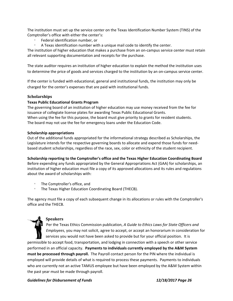The institution must set up the service center on the Texas Identification Number System (TINS) of the Comptroller's office with either the center's:

- Federal identification number, or
- $\degree$  A Texas identification number with a unique mail code to identify the center.

The institution of higher education that makes a purchase from an on‐campus service center must retain all relevant supporting documentation and receipts for the purchase.

The state auditor requires an institution of higher education to explain the method the institution uses to determine the price of goods and services charged to the institution by an on‐campus service center.

If the center is funded with educational, general and institutional funds, the institution may only be charged for the center's expenses that are paid with institutional funds.

#### **Scholarships**

#### **Texas Public Educational Grants Program**

The governing board of an institution of higher education may use money received from the fee for issuance of collegiate license plates for awarding Texas Public Educational Grants. When using the fee for this purpose, the board must give priority to grants for resident students. The board may not use the fee for emergency loans under the Education Code.

#### **Scholarship appropriations**

Out of the additional funds appropriated for the informational strategy described as Scholarships, the Legislature intends for the respective governing boards to allocate and expend those funds for need‐ based student scholarships, regardless of the race, sex, color or ethnicity of the student recipient.

**Scholarship reporting to the Comptroller's office and the Texas Higher Education Coordinating Board** Before expending any funds appropriated by the General Appropriations Act (GAA) for scholarships, an institution of higher education must file a copy of its approved allocations and its rules and regulations about the award of scholarships with:

- The Comptroller's office, and
- The Texas Higher Education Coordinating Board (THECB).

The agency must file a copy of each subsequent change in its allocations or rules with the Comptroller's office and the THECB.

#### **Speakers**

Per the Texas Ethics Commission publication, *A Guide to Ethics Laws for State Officers and Employees*, you may not solicit, agree to accept, or accept an honorarium in consideration for services you would not have been asked to provide but for your official position. It is permissible to accept food, transportation, and lodging in connection with a speech or other service performed in an official capacity. **Payments to individuals currently employed by the A&M System must be processed through payroll.** The Payroll contact person for the PIN where the individual is employed will provide details of what is required to process these payments. Payments to individuals who are currently not an active TAMUS employee but have been employed by the A&M System within the past year must be made through payroll.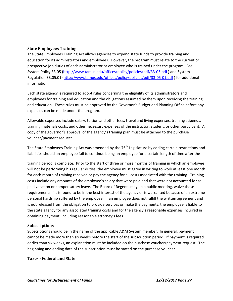#### **State Employees Training**

The State Employees Training Act allows agencies to expend state funds to provide training and education for its administrators and employees. However, the program must relate to the current or prospective job duties of each administrator or employee who is trained under the program. See System Policy 33.05 (http://www.tamus.edu/offices/policy/policies/pdf/33‐05.pdf ) and System Regulation 33.05.01 (http://www.tamus.edu/offices/policy/policies/pdf/33‐05‐01.pdf ) for additional information.

Each state agency is required to adopt rules concerning the eligibility of its administrators and employees for training and education and the obligations assumed by them upon receiving the training and education. These rules must be approved by the Governor's Budget and Planning Office before any expenses can be made under the program.

Allowable expenses include salary, tuition and other fees, travel and living expenses, training stipends, training materials costs, and other necessary expenses of the instructor, student, or other participant. A copy of the governor's approval of the agency's training plan must be attached to the purchase voucher/payment request.

The State Employees Training Act was amended by the  $76<sup>th</sup>$  Legislature by adding certain restrictions and liabilities should an employee fail to continue being an employee for a certain length of time after the

training period is complete. Prior to the start of three or more months of training in which an employee will not be performing his regular duties, the employee must agree in writing to work at least one month for each month of training received or pay the agency for all costs associated with the training. Training costs include any amounts of the employee's salary that were paid and that were not accounted for as paid vacation or compensatory leave. The Board of Regents may, in a public meeting, waive these requirements if it is found to be in the best interest of the agency or is warranted because of an extreme personal hardship suffered by the employee. If an employee does not fulfill the written agreement and is not released from the obligation to provide services or make the payments, the employee is liable to the state agency for any associated training costs and for the agency's reasonable expenses incurred in obtaining payment, including reasonable attorney's fees.

#### **Subscriptions**

Subscriptions should be in the name of the applicable A&M System member. In general, payment cannot be made more than six weeks before the start of the subscription period. If payment is required earlier than six weeks, an explanation must be included on the purchase voucher/payment request. The beginning and ending date of the subscription must be stated on the purchase voucher.

#### **Taxes ‐ Federal and State**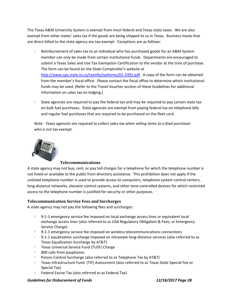The Texas A&M University System is exempt from most federal and Texas state taxes. We are also exempt from other states' sales tax if the goods are being shipped to us in Texas. Business meals that are direct billed to the state agency are tax-exempt. Exceptions are as follows:

- Reimbursement of sales tax to an individual who has purchased goods for an A&M System member can only be made from certain institutional funds. Departments are encouraged to submit a Texas Sales and Use Tax Exemption Certification to the vendor at the time of purchase. The form can be found on the State Comptroller's website at http://www.cpa.state.tx.us/taxinfo/taxforms/01‐3392.pdf. A copy of the form can be obtained from the member's fiscal office. Please contact the fiscal office to determine which institutional funds may be used. (Refer to the Travel Voucher section of these Guidelines for additional information on sales tax on lodging.)
- State agencies are required to pay the federal tax and may be required to pay certain state tax on bulk fuel purchases. State agencies are exempt from paying federal tax on telephone bills and regular fuel purchases that are required to be purchased on the fleet card.

*Note: Texas agencies are required to collect sales tax when selling items to a final purchaser who is not tax exempt.*



#### **Telecommunications**

A state agency may not buy, rent, or pay toll charges for a telephone for which the telephone number is not listed or available to the public from directory assistance. This prohibition does not apply if the unlisted telephone number is used to provide access to computers, telephone system control centers, long-distance networks, elevator control systems, and other tone-controlled devices for which restricted access to the telephone number is justified for security or other purposes.

#### **Telecommunication Service Fees and Surcharges**

A state agency may not pay the following fees and surcharges:

- 9‐1‐1 emergency service fee imposed on local exchange access lines or equivalent local exchange access lines (also referred to as USA Regulatory Obligation & Fees, or Emergency Service Charge)
- 9‐1‐1 emergency service fee imposed on wireless telecommunications connections
- 9‐1‐1 equalization surcharge imposed on intrastate long‐distance services (also referred to as Texas Equalization Surcharge by AT&T)
- Texas Universal Service Fund (TUSF) Charge
- 800 calls from payphones
- Poison Control Surcharge (also referred to as Telephone Tax by AT&T)
- Texas Infrastructure Fund (TIF) Assessment (also referred to as Texas State Special Fee or Special Tax)
- Federal Excise Tax (also referred to as Federal Tax)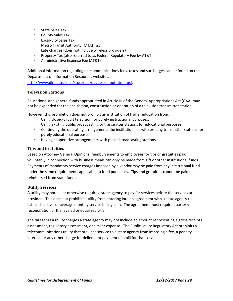- State Sales Tax
- County Sales Tax
- Local/City Sales Tax
- Metro Transit Authority (MTA) Tax
- Late charges (does not include wireless providers)
- Property Tax (also referred to as Federal Regulatory Fee by AT&T)
- Administrative Expense Fee (AT&T)

Additional information regarding telecommunications fees, taxes and surcharges can be found on the Department of Information Resources website at http://www.dir.state.tx.us/store/tsd/oagtaxexempt.htm#fusf.

#### **Television Stations**

Educational and general funds appropriated in Article III of the General Appropriations Act (GAA) may not be expended for the acquisition, construction or operation of a television transmitter station.

However, this prohibition does not prohibit an institution of higher education from:

- Using closed‐circuit television for purely instructional purposes.
- Using existing public broadcasting or transmitter stations for educational purposes.
- **Continuing the operating arrangements the institution has with existing transmitter stations for** purely educational purposes.
- Having cooperative arrangements with public broadcasting stations.

#### **Tips and Gratuities**

Based on Attorney General Opinions, reimbursements to employees for tips or gratuities paid voluntarily in connection with business meals can only be made from gift or other institutional funds. Payments of mandatory service charges imposed by a vendor may be paid from any institutional fund under the same requirements applicable to food purchases. Tips and gratuities cannot be paid or reimbursed from state funds.

#### **Utility Services**

A utility may not bill or otherwise require a state agency to pay for services before the services are provided. This does not prohibit a utility from entering into an agreement with a state agency to establish a level or average monthly service billing plan. The agreement must require quarterly reconciliation of the leveled or equalized bills.

The rates that a utility charges a state agency may not include an amount representing a gross receipts assessment, regulatory assessment, or similar expense. The Public Utility Regulatory Act prohibits a telecommunications utility that provides service to a state agency from imposing a fee, a penalty, interest, or any other charge for delinquent payment of a bill for that service.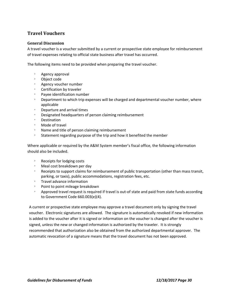# **Travel Vouchers**

#### **General Discussion**

A travel voucher is a voucher submitted by a current or prospective state employee for reimbursement of travel expenses relating to official state business after travel has occurred.

The following items need to be provided when preparing the travel voucher.

- Agency approval
- Object code
- Agency voucher number
- Certification by traveler
- Payee identification number
- **Department to which trip expenses will be charged and departmental voucher number, where** applicable
- Departure and arrival times
- Designated headquarters of person claiming reimbursement
- Destination
- Mode of travel
- Name and title of person claiming reimbursement
- **Statement regarding purpose of the trip and how it benefited the member**

Where applicable or required by the A&M System member's fiscal office, the following information should also be included.

- Receipts for lodging costs
- Meal cost breakdown per day
- **Receipts to support claims for reimbursement of public transportation (other than mass transit,** parking, or taxis), public accommodations, registration fees, etc.
- Travel advance information
- Point to point mileage breakdown
- Approved travel request is required if travel is out-of state and paid from state funds according to Government Code 660.003(e)(4).

A current or prospective state employee may approve a travel document only by signing the travel voucher. Electronic signatures are allowed. The signature is automatically revoked if new information is added to the voucher after it is signed or information on the voucher is changed after the voucher is signed, unless the new or changed information is authorized by the traveler. It is strongly recommended that authorization also be obtained from the authorized departmental approver. The automatic revocation of a signature means that the travel document has not been approved.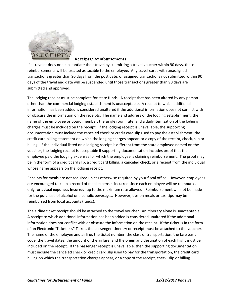

#### **Receipts/Reimbursements**

If a traveler does not substantiate their travel by submitting a travel voucher within 90 days, these reimbursements will be treated as taxable to the employee. Any travel cards with unassigned transactions greater than 90 days from the post date, or assigned transactions not submitted within 90 days of the travel end date will be suspended until those transactions greater than 90 days are submitted and approved.

The lodging receipt must be complete for state funds. A receipt that has been altered by any person other than the commercial lodging establishment is unacceptable. A receipt to which additional information has been added is considered unaltered if the additional information does not conflict with or obscure the information on the receipts. The name and address of the lodging establishment, the name of the employee or board member, the single room rate, and a daily itemization of the lodging charges must be included on the receipt. If the lodging receipt is unavailable, the supporting documentation must include the canceled check or credit card slip used to pay the establishment, the credit card billing statement on which the lodging charges appear, or a copy of the receipt, check, slip or billing. If the individual listed on a lodging receipt is different from the state employee named on the voucher, the lodging receipt is acceptable if supporting documentation includes proof that the employee paid the lodging expenses for which the employee is claiming reimbursement. The proof may be in the form of a credit card slip, a credit card billing, a canceled check, or a receipt from the individual whose name appears on the lodging receipt.

Receipts for meals are not required unless otherwise required by your fiscal office. However, employees are encouraged to keep a record of meal expenses incurred since each employee will be reimbursed only for **actual expenses incurred**, up to the maximum rate allowed. Reimbursement will not be made for the purchase of alcohol or alcoholic beverages. However, tips on meals or taxi tips may be reimbursed from local accounts (funds).

The airline ticket receipt should be attached to the travel voucher. An itinerary alone is unacceptable. A receipt to which additional information has been added is considered unaltered if the additional information does not conflict with or obscure the information on the receipt. If the ticket is in the form of an Electronic "Ticketless" Ticket, the passenger itinerary or receipt must be attached to the voucher. The name of the employee and airline, the ticket number, the class of transportation, the fare basis code, the travel dates, the amount of the airfare, and the origin and destination of each flight must be included on the receipt. If the passenger receipt is unavailable, then the supporting documentation must include the canceled check or credit card slip used to pay for the transportation, the credit card billing on which the transportation charges appear, or a copy of the receipt, check, slip or billing.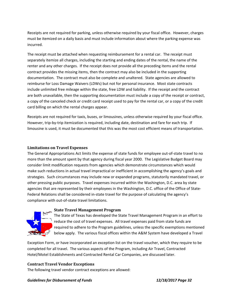Receipts are not required for parking, unless otherwise required by your fiscal office. However, charges must be itemized on a daily basis and must include information about where the parking expense was incurred.

The receipt must be attached when requesting reimbursement for a rental car. The receipt must separately itemize all charges, including the starting and ending dates of the rental, the name of the renter and any other charges. If the receipt does not provide all the preceding items and the rental contract provides the missing items, then the contract may also be included in the supporting documentation. The contract must also be complete and unaltered. State agencies are allowed to reimburse for Loss Damage Waivers (LDWs) but not for personal insurance. Most state contracts include unlimited free mileage within the state, free LDW and liability. If the receipt and the contract are both unavailable, then the supporting documentation must include a copy of the receipt or contract, a copy of the canceled check or credit card receipt used to pay for the rental car, or a copy of the credit card billing on which the rental charges appear.

Receipts are not required for taxis, buses, or limousines, unless otherwise required by your fiscal office. However, trip-by-trip itemization is required, including date, destination and fare for each trip. If limousine is used, it must be documented that this was the most cost efficient means of transportation.

#### **Limitations on Travel Expenses**

The General Appropriations Act limits the expense of state funds for employee out‐of‐state travel to no more than the amount spent by that agency during fiscal year 2000. The Legislative Budget Board may consider limit modification requests from agencies which demonstrate circumstances which would make such reductions in actual travel impractical or inefficient in accomplishing the agency's goals and strategies. Such circumstances may include new or expanded programs, statutorily mandated travel, or other pressing public purposes. Travel expenses incurred within the Washington, D.C. area by state agencies that are represented by their employees in the Washington, D.C. office of the Office of State-Federal Relations shall be considered in-state travel for the purpose of calculating the agency's compliance with out‐of‐state travel limitations.



#### **State Travel Management Program**

The State of Texas has developed the State Travel Management Program in an effort to reduce the cost of travel expenses. All travel expenses paid from state funds are required to adhere to the Program guidelines, unless the specific exemptions mentioned below apply. The various fiscal offices within the A&M System have developed a Travel

Exception Form, or have incorporated an exception list on the travel voucher, which they require to be completed for all travel. The various aspects of the Program, including Air Travel, Contracted Hotel/Motel Establishments and Contracted Rental Car Companies, are discussed later.

#### **Contract Travel Vendor Exceptions**

The following travel vendor contract exceptions are allowed: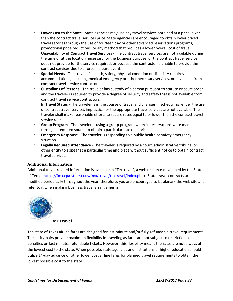- **Lower Cost to the State** ‐ State agencies may use any travel services obtained at a price lower than the contract travel services price. State agencies are encouraged to obtain lower priced travel services through the use of fourteen day or other advanced reservations programs, promotional price reductions, or any method that provides a lower overall cost of travel.
- **Unavailability of Contract Travel Services** ‐ The contract travel services are not available during the time or at the location necessary for the business purpose; or the contract travel service does not provide for the service required; or because the contractor is unable to provide the contract services due to a force majeure event.
- **Special Needs** ‐ The traveler's health, safety, physical condition or disability requires accommodations, including medical emergency or other necessary services, not available from contract travel service contractors.
- **Custodians of Persons** ‐ The traveler has custody of a person pursuant to statute or court order and the traveler is required to provide a degree of security and safety that is not available from contract travel service contractors.
- **In Travel Status** ‐ The traveler is in the course of travel and changes in scheduling render the use of contract travel services impractical or the appropriate travel services are not available. The traveler shall make reasonable efforts to secure rates equal to or lower than the contract travel service rates.
- **Group Program** ‐ The traveler is using a group program wherein reservations were made through a required source to obtain a particular rate or service.
- **Emergency Response** The traveler is responding to a public health or safety emergency situation.
- **Legally Required Attendance** ‐ The traveler is required by a court, administrative tribunal or other entity to appear at a particular time and place without sufficient notice to obtain contract travel services.

#### **Additional Information**

Additional travel‐related information is available in "Textravel", a web resource developed by the State of Texas (https://fmx.cpa.state.tx.us/fmx/travel/textravel/index.php). State travel contracts are modified periodically throughout the year; therefore, you are encouraged to bookmark the web site and refer to it when making business travel arrangements.



**Air Travel**

The state of Texas airline fares are designed for last minute and/or fully-refundable travel requirements. These city‐pairs provide maximum flexibility in traveling as fares are not subject to restrictions or penalties on last minute, refundable tickets. However, this flexibility means the rates are not always at the lowest cost to the state. When possible, state agencies and institutions of higher education should utilize 14‐day advance or other lower cost airline fares for planned travel requirements to obtain the lowest possible cost to the state.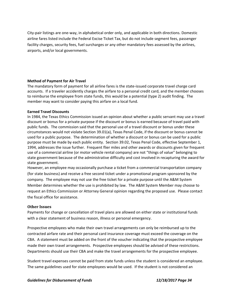City‐pair listings are one‐way, in alphabetical order only, and applicable in both directions. Domestic airline fares listed include the Federal Excise Ticket Tax, but do not include segment fees, passenger facility charges, security fees, fuel surcharges or any other mandatory fees assessed by the airlines, airports, and/or local governments.

#### **Method of Payment for Air Travel**

The mandatory form of payment for all airline fares is the state‐issued corporate travel charge card accounts. If a traveler accidently charges the airfare to a personal credit card, and the member chooses to reimburse the employee from state funds, this would be a potential (type 2) audit finding. The member may want to consider paying this airfare on a local fund.

#### **Earned Travel Discounts**

In 1984, the Texas Ethics Commission issued an opinion about whether a public servant may use a travel discount or bonus for a private purpose if the discount or bonus is earned because of travel paid with public funds. The commission said that the personal use of a travel discount or bonus under these circumstances would not violate Section 39.01(a), Texas Penal Code, if the discount or bonus cannot be used for a public purpose. The determination of whether a discount or bonus can be used for a public purpose must be made by each public entity. Section 39.02, Texas Penal Code, effective September 1, 1994, addresses the issue further. Frequent flier miles and other awards or discounts given for frequent use of a commercial airline (or motor vehicle rental company) are not "things of value" belonging to state government because of the administrative difficulty and cost involved in recapturing the award for state government.

However, an employee may occasionally purchase a ticket from a commercial transportation company (for state business) and receive a free second ticket under a promotional program sponsored by the company. The employee may not use the free ticket for a private purpose until the A&M System Member determines whether the use is prohibited by law. The A&M System Member may choose to request an Ethics Commission or Attorney General opinion regarding the proposed use. Please contact the fiscal office for assistance.

#### **Other Issues**

Payments for change or cancellation of travel plans are allowed on either state or institutional funds with a clear statement of business reason, illness or personal emergency.

Prospective employees who make their own travel arrangements can only be reimbursed up to the contracted airfare rate and their personal card insurance coverage must exceed the coverage on the CBA. A statement must be added on the front of the voucher indicating that the prospective employee made their own travel arrangements. Prospective employees should be advised of these restrictions. Departments should use their CBA and make the travel arrangements for the prospective employee.

Student travel expenses cannot be paid from state funds unless the student is considered an employee. The same guidelines used for state employees would be used. If the student is not considered an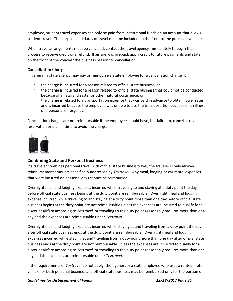employee, student travel expenses can only be paid from institutional funds on an account that allows student travel. The purpose and dates of travel must be included on the front of the purchase voucher.

When travel arrangements must be canceled, contact the travel agency immediately to begin the process to receive credit or a refund. If airfare was prepaid, apply credit to future payments and state on the front of the voucher the business reason for cancellation.

#### **Cancellation Charges**

In general, a state agency may pay or reimburse a state employee for a cancellation charge if:

- the charge is incurred for a reason related to official state business; or
- the charge is incurred for a reason related to official state business that could not be conducted because of a natural disaster or other natural occurrence; or
- the charge is related to a transportation expense that was paid in advance to obtain lower rates and is incurred because the employee was unable to use the transportation because of an illness or a personal emergency.

Cancellation charges are not reimbursable if the employee should have, but failed to, cancel a travel reservation or plan in time to avoid the charge.



#### **Combining State and Personal Business**

If a traveler combines personal travel with official state business travel, the traveler is only allowed reimbursement amounts specifically addressed by *Textravel*. Any meal, lodging or car rental expenses that were incurred on personal days cannot be reimbursed.

Overnight meal and lodging expenses incurred while traveling to and staying at a duty point the day before official state business begins at the duty point are reimbursable. Overnight meal and lodging expense incurred while traveling to and staying at a duty point more than one day before official state business begins at the duty point are not reimbursable unless the expenses are incurred to qualify for a discount airfare according to *Textravel*, or traveling to the duty point reasonably requires more than one day and the expenses are reimbursable under *Textravel*.

Overnight meal and lodging expenses incurred while staying at and traveling from a duty point the day after official state business ends at the duty point are reimbursable. Overnight meal and lodging expenses incurred while staying at and traveling from a duty point more than one day after official state business ends at the duty point are not reimbursable unless the expenses are incurred to qualify for a discount airfare according to *Textravel*, or traveling to the duty point reasonably requires more than one day and the expenses are reimbursable under *Textravel*.

If the requirements of *Textravel* do not apply, then generally a state employee who uses a rented motor vehicle for both personal business and official state business may be reimbursed only for the portion of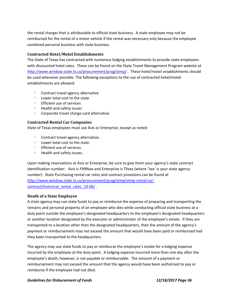the rental charges that is attributable to official state business. A state employee may not be reimbursed for the rental of a motor vehicle if the rental was necessary only because the employee combined personal business with state business.

#### **Contracted Hotel/Motel Establishments**

The State of Texas has contracted with numerous lodging establishments to provide state employees with discounted hotel rates. These can be found on the State Travel Management Program website at http://www.window.state.tx.us/procurement/prog/stmp/ . These hotel/motel establishments should be used whenever possible. The following exceptions to the use of contracted hotel/motel establishments are allowed:

- Contract travel agency alternative
- Lower total cost to the state
- Efficient use of services
- Health and safety issues
- Corporate travel charge card alternative

#### **Contracted Rental Car Companies**

State of Texas employees must use Avis or Enterprise, except as noted:

- Contract travel agency alternative.
- Lower total cost to the state.
- Ffficient use of services.
- Health and safety issues.

Upon making reservations at Avis or Enterprise, be sure to give them your agency's state contract identification number: Avis is F999xxx and Enterprise is TXxxx (where "xxx' is your state agency number). State Purchasing rental car rates and contract provisions can be found at http://www.window.state.tx.us/procurement/prog/stmp/stmp-rental-carcontract/historical rental rates 10-06/ .

#### **Death of a State Employee**

A state agency may use state funds to pay or reimburse the expense of preparing and transporting the remains and personal property of an employee who dies while conducting official state business at a duty point outside the employee's designated headquarters to the employee's designated headquarters or another location designated by the executor or administrator of the employee's estate. If they are transported to a location other than the designated headquarters, then the amount of the agency's payment or reimbursement may not exceed the amount that would have been paid or reimbursed had they been transported to the headquarters.

The agency may use state funds to pay or reimburse the employee's estate for a lodging expense incurred by the employee at the duty point. A lodging expense incurred more than one day after the employee's death, however, is not payable or reimbursable. The amount of a payment or reimbursement may not exceed the amount that the agency would have been authorized to pay or reimburse if the employee had not died.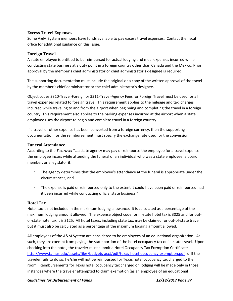#### **Excess Travel Expenses**

Some A&M System members have funds available to pay excess travel expenses. Contact the fiscal office for additional guidance on this issue.

#### **Foreign Travel**

A state employee is entitled to be reimbursed for actual lodging and meal expenses incurred while conducting state business at a duty point in a foreign country other than Canada and the Mexico. Prior approval by the member's chief administrator or chief administrator's designee is required.

The supporting documentation must include the original or a copy of the written approval of the travel by the member's chief administrator or the chief administrator's designee.

Object codes 3310‐Travel‐Foreign or 3311‐Travel‐Agency Fees for Foreign Travel must be used for all travel expenses related to foreign travel. This requirement applies to the mileage and taxi charges incurred while traveling to and from the airport when beginning and completing the travel in a foreign country. This requirement also applies to the parking expenses incurred at the airport when a state employee uses the airport to begin and complete travel in a foreign country.

If a travel or other expense has been converted from a foreign currency, then the supporting documentation for the reimbursement must specify the exchange rate used for the conversion.

#### **Funeral Attendance**

According to the *Textravel* "…a state agency may pay or reimburse the employee for a travel expense the employee incurs while attending the funeral of an individual who was a state employee, a board member, or a legislator if:

- The agency determines that the employee's attendance at the funeral is appropriate under the circumstances; and
- The expense is paid or reimbursed only to the extent it could have been paid or reimbursed had it been incurred while conducting official state business."

#### **Hotel Tax**

Hotel tax is not included in the maximum lodging allowance. It is calculated as a percentage of the maximum lodging amount allowed. The expense object code for in-state hotel tax is 3025 and for outof‐state hotel tax it is 3125. All hotel taxes, including state tax, may be claimed for out‐of‐state travel but it must also be calculated as a percentage of the maximum lodging amount allowed.

All employees of the A&M System are considered to be employees of an educational organization. As such, they are exempt from paying the state portion of the hotel occupancy tax on in‐state travel. Upon checking into the hotel, the traveler must submit a Hotel Occupancy Tax Exemption Certificate http://www.tamus.edu/assets/files/budgets-acct/pdf/texas-hotel-occupancy-exemption.pdf). If the traveler fails to do so, he/she will not be reimbursed for Texas hotel occupancy tax charged to their room. Reimbursements for Texas hotel occupancy tax charged on lodging will be made only in those instances where the traveler attempted to claim exemption (as an employee of an educational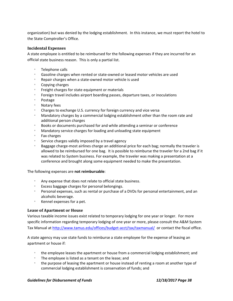organization) but was denied by the lodging establishment. In this instance, we must report the hotel to the State Comptroller's Office.

#### **Incidental Expenses**

A state employee is entitled to be reimbursed for the following expenses if they are incurred for an official state business reason. This is only a partial list.

- Telephone calls
- Gasoline charges when rented or state‐owned or leased motor vehicles are used
- Repair charges when a state‐owned motor vehicle is used
- Copying charges
- **Example 1** Freight charges for state equipment or materials
- Foreign travel includes airport boarding passes, departure taxes, or inoculations
- Postage
- Notary fees
- Charges to exchange U.S. currency for foreign currency and vice versa
- Mandatory charges by a commercial lodging establishment other than the room rate and additional person charges
- Books or documents purchased for and while attending a seminar or conference
- Mandatory service charges for loading and unloading state equipment
- Fax charges
- Service charges validly imposed by a travel agency
- Baggage charge‐most airlines charge an additional price for each bag; normally the traveler is allowed to be reimbursed for one bag. It is possible to reimburse the traveler for a 2nd bag if it was related to System business. For example, the traveler was making a presentation at a conference and brought along some equipment needed to make the presentation.

#### The following expenses are **not reimbursable**:

- Any expense that does not relate to official state business.
- Excess baggage charges for personal belongings.
- Personal expenses, such as rental or purchase of a DVDs for personal entertainment, and an alcoholic beverage.
- Kennel expenses for a pet.

#### **Lease of Apartment or House**

Various taxable income issues exist related to temporary lodging for one year or longer. For more specific information regarding temporary lodging of one year or more, please consult the A&M System Tax Manual at http://www.tamus.edu/offices/budget-acct/tax/taxmanual/ or contact the fiscal office.

A state agency may use state funds to reimburse a state employee for the expense of leasing an apartment or house if:

- the employee leases the apartment or house from a commercial lodging establishment; and
- The employee is listed as a tenant on the lease; and
- the purpose of leasing the apartment or house instead of renting a room at another type of commercial lodging establishment is conservation of funds; and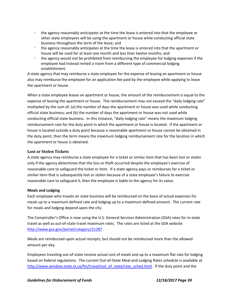- the agency reasonably anticipates at the time the lease is entered into that the employee or other state employees will be using the apartment or house while conducting official state business throughout the term of the lease; and
- the agency reasonably anticipates at the time the lease is entered into that the apartment or house will be used for at least one month and less than twelve months; and
- the agency would not be prohibited from reimbursing the employee for lodging expenses if the employee had instead rented a room from a different type of commercial lodging establishment.

A state agency that may reimburse a state employee for the expense of leasing an apartment or house also may reimburse the employee for an application fee paid by the employee while applying to lease the apartment or house.

When a state employee leases an apartment or house, the amount of the reimbursement is equal to the expense of leasing the apartment or house. The reimbursement may not exceed the "daily lodging rate" multiplied by the sum of: (a) the number of days the apartment or house was used while conducting official state business; and (b) the number of days the apartment or house was not used while conducting official state business. In this instance, "daily lodging rate" means the maximum lodging reimbursement rate for the duty point in which the apartment or house is located. If the apartment or house is located outside a duty point because a reasonable apartment or house cannot be obtained in the duty point, then the term means the maximum lodging reimbursement rate for the location in which the apartment or house is obtained.

#### **Lost or Stolen Tickets**

A state agency may reimburse a state employee for a ticket or similar item that has been lost or stolen only if the agency determines that the loss or theft occurred despite the employee's exercise of reasonable care to safeguard the ticket or item. If a state agency pays or reimburses for a ticket or similar item that is subsequently lost or stolen because of a state employee's failure to exercise reasonable care to safeguard it, then the employee is liable to the agency for its value.

#### **Meals and Lodging**

Each employee who travels on state business will be reimbursed on the basis of actual expenses for meals up to a maximum defined rate and lodging up to a maximum defined amount. The current rate for meals and lodging depend upon the city.

The Comptroller's Office is now using the U.S. General Services Administration (GSA) rates for in‐state travel as well as out‐of‐state travel maximum rates. The rates are listed at the GSA website http://www.gsa.gov/portal/category/21287 .

Meals are reimbursed upon actual receipts, but should not be reimbursed more than the allowed amount per day.

Employees traveling out‐of‐state receive actual cost of meals and up to a maximum flat rate for lodging based on federal regulations. The current Out‐of‐State Meal and Lodging Rates schedule is available at http://www.window.state.tx.us/fm/travel/out\_of\_state/rate\_sched.html. If the duty point and the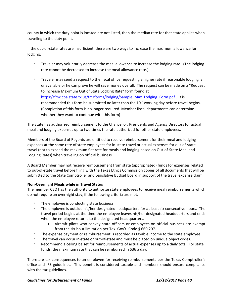county in which the duty point is located are not listed, then the median rate for that state applies when traveling to the duty point.

If the out-of-state rates are insufficient, there are two ways to increase the maximum allowance for lodging:

- Traveler may voluntarily decrease the meal allowance to increase the lodging rate. (The lodging rate cannot be decreased to increase the meal allowance rate.)
- Traveler may send a request to the fiscal office requesting a higher rate if reasonable lodging is unavailable or he can prove he will save money overall. The request can be made on a "Request to Increase Maximum Out of State Lodging Rate" form found at https://fmx.cpa.state.tx.us/fm/forms/lodging/Sample\_Max\_Lodging\_Form.pdf . It is recommended this form be submitted no later than the  $10<sup>th</sup>$  working day before travel begins. (Completion of this form is no longer required. Member fiscal departments can determine whether they want to continue with this form)

The State has authorized reimbursement to the Chancellor, Presidents and Agency Directors for actual meal and lodging expenses up to two times the rate authorized for other state employees.

Members of the Board of Regents are entitled to receive reimbursement for their meal and lodging expenses at the same rate of state employees for in‐state travel or actual expenses for out‐of‐state travel (not to exceed the maximum flat rate for meals and lodging based on Out‐of‐State Meal and Lodging Rates) when traveling on official business.

A Board Member may not receive reimbursement from state (appropriated) funds for expenses related to out‐of‐state travel before filing with the Texas Ethics Commission copies of all documents that will be submitted to the State Comptroller and Legislative Budget Board in support of the travel expense claim.

#### **Non‐Overnight Meals while in Travel Status**

The member CEO has the authority to authorize state employees to receive meal reimbursements which do not require an overnight stay, if the following criteria are met.

- The employee is conducting state business.
- The employee is outside his/her designated headquarters for at least six consecutive hours. The travel period begins at the time the employee leaves his/her designated headquarters and ends when the employee returns to the designated headquarters.
	- o Aircraft pilots who convey state officers or employees on official business are exempt from the six‐hour limitation per Tex. Gov't. Code § 660.207.
- The expense payment or reimbursement is recorded as taxable income to the state employee.
- The travel can occur in‐state or out‐of‐state and must be placed on unique object codes.
- Recommend a ceiling be set for reimbursements of actual expenses up to a daily total. For state funds, the maximum rate that can be reimbursed in \$36 a day.

There are tax consequences to an employee for receiving reimbursements per the Texas Comptroller's office and IRS guidelines. This benefit is considered taxable and members should ensure compliance with the tax guidelines.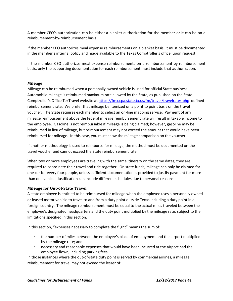A member CEO's authorization can be either a blanket authorization for the member or it can be on a reimbursement‐by‐reimbursement basis.

If the member CEO authorizes meal expense reimbursements on a blanket basis, it must be documented in the member's internal policy and made available to the Texas Comptroller's office, upon request.

If the member CEO authorizes meal expense reimbursements on a reimbursement‐by‐reimbursement basis, only the supporting documentation for each reimbursement must include that authorization.

#### **Mileage**

Mileage can be reimbursed when a personally owned vehicle is used for official State business. Automobile mileage is reimbursed maximum rate allowed by the State, as published on the State Comptroller's Office TexTravel website at https://fmx.cpa.state.tx.us/fm/travel/travelrates.php defined reimbursement rate. We prefer that mileage be itemized on a point to point basis on the travel voucher. The State requires each member to select an on-line mapping service. Payment of any mileage reimbursement above the federal mileage reimbursement rate will result in taxable income to the employee. Gasoline is not reimbursable if mileage is being claimed; however, gasoline may be reimbursed in lieu of mileage, but reimbursement may not exceed the amount that would have been reimbursed for mileage. In this case, you must show the mileage comparison on the voucher.

If another methodology is used to reimburse for mileage, the method must be documented on the travel voucher and cannot exceed the State reimbursement rate.

When two or more employees are traveling with the same itinerary on the same dates, they are required to coordinate their travel and ride together. On state funds, mileage can only be claimed for one car for every four people, unless sufficient documentation is provided to justify payment for more than one vehicle. Justification can include different schedules due to personal reasons.

#### **Mileage for Out‐of‐State Travel**

A state employee is entitled to be reimbursed for mileage when the employee uses a personally owned or leased motor vehicle to travel to and from a duty point outside Texas including a duty point in a foreign country. The mileage reimbursement must be equal to the actual miles traveled between the employee's designated headquarters and the duty point multiplied by the mileage rate, subject to the limitations specified in this section.

In this section, "expenses necessary to complete the flight" means the sum of:

- the number of miles between the employee's place of employment and the airport multiplied by the mileage rate; and
- necessary and reasonable expenses that would have been incurred at the airport had the employee flown, including parking fees.

In those instances where the out-of-state duty point is served by commercial airlines, a mileage reimbursement for travel may not exceed the lesser of: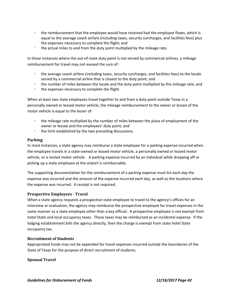- the reimbursement that the employee would have received had the employee flown, which is equal to the average coach airfare (including taxes, security surcharges, and facilities fees) plus the expenses necessary to complete the flight; and
- the actual miles to and from the duty point multiplied by the mileage rate.

In those instances where the out-of-state duty point is not served by commercial airlines, a mileage reimbursement for travel may not exceed the sum of:

- the average coach airfare (including taxes, security surcharges, and facilities fees) to the locale served by a commercial airline that is closest to the duty point; and
- the number of miles between the locale and the duty point multiplied by the mileage rate; and
- $\degree$  the expenses necessary to complete the flight.

When at least two state employees travel together to and from a duty point outside Texas in a personally owned or leased motor vehicle, the mileage reimbursement to the owner or lessee of the motor vehicle is equal to the lesser of:

- the mileage rate multiplied by the number of miles between the place of employment of the owner or lessee and the employees' duty point; and
- the limit established by the two preceding discussions.

#### **Parking**

In most instances, a state agency may reimburse a state employee for a parking expense incurred when the employee travels in a state‐owned or leased motor vehicle, a personally owned or leased motor vehicle, or a rented motor vehicle. A parking expense incurred by an individual while dropping off or picking up a state employee at the airport is reimbursable.

The supporting documentation for the reimbursement of a parking expense must list each day the expense was incurred and the amount of the expense incurred each day, as well as the locations where the expense was incurred. A receipt is not required.

#### **Prospective Employees ‐ Travel**

When a state agency requests a prospective state employee to travel to the agency's offices for an interview or evaluation, the agency may reimburse the prospective employee for travel expenses in the same manner as a state employee other than a key official. A prospective employee is not exempt from hotel State and local occupancy taxes. Those taxes may be reimbursed as an incidental expense. If the lodging establishment bills the agency directly, then the charge is exempt from state hotel State occupancy tax.

#### **Recruitment of Students**

Appropriated funds may not be expended for travel expenses incurred outside the boundaries of the State of Texas for the purpose of direct recruitment of students.

#### **Spousal Travel**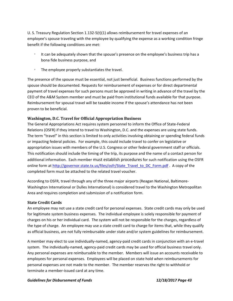U. S. Treasury Regulation Section 1.132‐5(t)(1) allows reimbursement for travel expenses of an employee's spouse traveling with the employee by qualifying the expense as a working condition fringe benefit if the following conditions are met:

- It can be adequately shown that the spouse's presence on the employee's business trip has a bona fide business purpose, and
- The employee properly substantiates the travel.

The presence of the spouse must be essential, not just beneficial. Business functions performed by the spouse should be documented. Requests for reimbursement of expenses or for direct departmental payment of travel expenses for such persons must be approved in writing in advance of the travel by the CEO of the A&M System member and must be paid from institutional funds available for that purpose. Reimbursement for spousal travel will be taxable income if the spouse's attendance has not been proven to be beneficial.

#### **Washington, D.C. Travel for Official Appropriation Business**

The General Appropriations Act requires system personnel to inform the Office of State‐Federal Relations (OSFR) if they intend to travel to Washington, D.C. and the expenses are using state funds. The term "travel" in this section is limited to only activities involving obtaining or spending federal funds or impacting federal policies. For example, this could include travel to confer on legislative or appropriation issues with members of the U.S. Congress or other federal government staff or officials. This notification should include the timing of the trip, its purpose and the name of a contact person for additional information. Each member must establish procedures for such notification using the OSFR online form at http://governor.state.tx.us/files/osfr/State\_Travel\_to\_DC\_Form.pdf . A copy of the completed form must be attached to the related travel voucher.

According to OSFR, travel through any of the three major airports (Reagan National, Baltimore‐ Washington International or Dulles International) is considered travel to the Washington Metropolitan Area and requires completion and submission of a notification form.

#### **State Credit Cards**

An employee may not use a state credit card for personal expenses. State credit cards may only be used for legitimate system business expenses. The individual employee is solely responsible for payment of charges on his or her individual card. The system will not be responsible for the charges, regardless of the type of charge. An employee may use a state credit card to charge for items that, while they qualify as official business, are not fully reimbursable under state and/or system guidelines for reimbursement.

A member may elect to use individually‐named, agency‐paid credit cards in conjunction with an e‐travel system. The individually-named, agency-paid credit cards may be used for official business travel only. Any personal expenses are reimbursable to the member. Members will issue an accounts receivable to employees for personal expenses. Employees will be placed on state hold when reimbursements for personal expenses are not made to the member. The member reserves the right to withhold or terminate a member‐issued card at any time.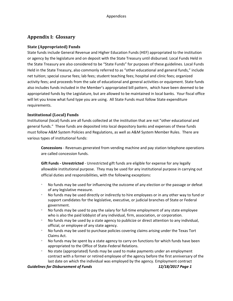# **Appendix I: Glossary**

#### **State (Appropriated) Funds**

State funds include General Revenue and Higher Education Funds (HEF) appropriated to the institution or agency by the legislature and on deposit with the State Treasury until disbursed. Local Funds Held in the State Treasury are also considered to be "State Funds" for purposes of these guidelines. Local Funds Held in the State Treasury, also commonly referred to as "other educational and general funds," include net tuition; special course fees; lab fees; student teaching fees; hospital and clinic fees; organized activity fees; and proceeds from the sale of educational and general activities or equipment. State funds also includes funds included in the Member's appropriated bill pattern, which have been deemed to be appropriated funds by the Legislature, but are allowed to be maintained in local banks. Your fiscal office will let you know what fund type you are using. All State Funds must follow State expenditure requirements.

## **Institutional (Local) Funds**

Institutional (local) funds are all funds collected at the institution that are not "other educational and general funds." These funds are deposited into local depository banks and expenses of these funds must follow A&M System Policies and Regulations, as well as A&M System Member Rules. There are various types of institutional funds:

**Concessions** ‐ Revenues generated from vending machine and pay station telephone operations are called concession funds.

**Gift Funds ‐ Unrestricted** ‐ Unrestricted gift funds are eligible for expense for any legally allowable institutional purpose. They may be used for any institutional purpose in carrying out official duties and responsibilities, with the following exceptions:

- No funds may be used for influencing the outcome of any election or the passage or defeat of any legislative measure.
- No funds may be used directly or indirectly to hire employees or in any other way to fund or support candidates for the legislative, executive, or judicial branches of State or Federal government.
- No funds may be used to pay the salary for full‐time employment of any state employee who is also the paid lobbyist of any individual, firm, association, or corporation.
- No funds may be used by a state agency to publicize or direct attention to any individual, official, or employee of any state agency.
- No funds may be used to purchase policies covering claims arising under the Texas Tort Claims Act.
- No funds may be spent by a state agency to carry on functions for which funds have been appropriated to the Office of State‐Federal Relations.
- No state (appropriated) funds may be used to make payments under an employment contract with a former or retired employee of the agency before the first anniversary of the last date on which the individual was employed by the agency. Employment contract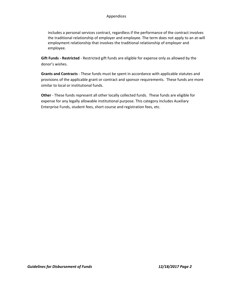includes a personal services contract, regardless if the performance of the contract involves the traditional relationship of employer and employee. The term does not apply to an at‐will employment relationship that involves the traditional relationship of employer and employee.

**Gift Funds ‐ Restricted** ‐ Restricted gift funds are eligible for expense only as allowed by the donor's wishes.

**Grants and Contracts** ‐ These funds must be spent in accordance with applicable statutes and provisions of the applicable grant or contract and sponsor requirements. These funds are more similar to local or institutional funds.

**Other** ‐ These funds represent all other locally collected funds. These funds are eligible for expense for any legally allowable institutional purpose. This category includes Auxiliary Enterprise Funds, student fees, short course and registration fees, etc.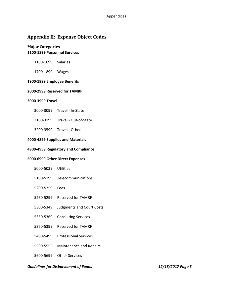# **Appendix II: Expense Object Codes**

#### **Major Categories ‐1899 Personnel Services**

1100-1699 Salaries

‐1899 Wages

#### **‐1999 Employee Benefits**

#### **‐2999 Reserved for TAMRF**

#### **‐3999 Travel**

- ‐3099 Travel ‐ In‐State
- ‐3199 Travel ‐ Out‐of‐State
- ‐3599 Travel ‐ Other

#### **‐4899 Supplies and Materials**

#### **‐4959 Regulatory and Compliance**

#### **‐6999 Other Direct Expenses**

- ‐5039 Utilities
- ‐5199 Telecommunications
- ‐5259 Fees
- ‐5299 Reserved for TAMRF
- 5300-5349 Judgments and Court Costs
- ‐5369 Consulting Services
- ‐5399 Reserved for TAMRF
- ‐5499 Professional Services
- ‐5555 Maintenance and Repairs
- ‐5699 Other Services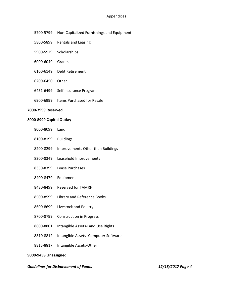#### Appendices

- 5700-5799 Non-Capitalized Furnishings and Equipment
- ‐5899 Rentals and Leasing
- 5900-5929 Scholarships
- ‐6049 Grants
- ‐6149 Debt Retirement
- ‐6450 Other
- ‐6499 Self Insurance Program
- ‐6999 Items Purchased for Resale

#### **‐7999 Reserved**

#### **‐8999 Capital Outlay**

- ‐8099 Land
- ‐8199 Buildings
- ‐8299 Improvements Other than Buildings
- ‐8349 Leasehold Improvements
- ‐8399 Lease Purchases
- ‐8479 Equipment
- 8480-8499 Reserved for TAMRF
- ‐8599 Library and Reference Books
- 8600-8699 Livestock and Poultry
- 8700-8799 Construction in Progress
- ‐8801 Intangible Assets‐Land Use Rights
- ‐8812 Intangible Assets‐ Computer Software
- ‐8817 Intangible Assets‐Other

#### **‐9458 Unassigned**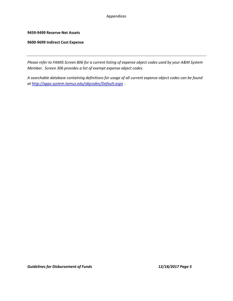#### Appendices

#### **9459‐9499 Reserve‐Net Assets**

#### **9600‐9699 Indirect Cost Expense**

Please refer to FAMIS Screen 806 for a current listing of expense object codes used by your A&M System *Member. Screen 306 provides a list of exempt expense object codes.*

*A searchable database containing definitions for usage of all current expense object codes can be found at http://apps.system.tamus.edu/objcodes/Default.aspx .*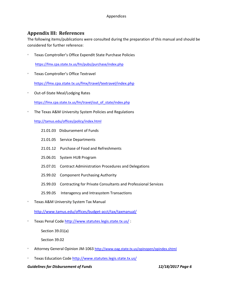# **Appendix III: References**

The following items/publications were consulted during the preparation of this manual and should be considered for further reference:

Texas Comptroller's Office ExpendIt State Purchase Policies

https://fmx.cpa.state.tx.us/fm/pubs/purchase/index.php

Texas Comptroller's Office Textravel

https://fmx.cpa.state.tx.us/fmx/travel/textravel/index.php

Out‐of‐State Meal/Lodging Rates

https://fmx.cpa.state.tx.us/fm/travel/out\_of\_state/index.php

• The Texas A&M University System Policies and Regulations

http://tamus.edu/offices/policy/index.html

- 21.01.03 Disbursement of Funds
- 21.01.05 Service Departments
- 21.01.12 Purchase of Food and Refreshments
- 25.06.01 System HUB Program
- 25.07.01 Contract Administration Procedures and Delegations
- 25.99.02 Component Purchasing Authority
- 25.99.03 Contracting for Private Consultants and Professional Services
- 25.99.05 Interagency and Intrasystem Transactions
- Texas A&M University System Tax Manual

http://www.tamus.edu/offices/budget‐acct/tax/taxmanual/

Texas Penal Code http://www.statutes.legis.state.tx.us/:

Section 39.01(a)

Section 39.02

- © Attorney General Opinion JM-1063 http://www.oag.state.tx.us/opinopen/opindex.shtml
- Texas Education Code http://www.statutes.legis.state.tx.us/